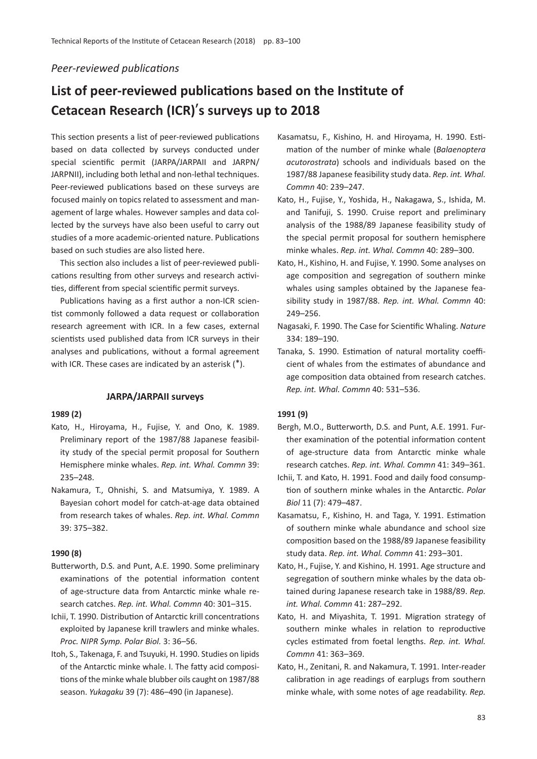# *Peer-reviewed publications*

# **List of peer-reviewed publications based on the Institute of Cetacean Research (ICR)**'**s surveys up to 2018**

This section presents a list of peer-reviewed publications based on data collected by surveys conducted under special scientific permit (JARPA/JARPAII and JARPN/ JARPNII), including both lethal and non-lethal techniques. Peer-reviewed publications based on these surveys are focused mainly on topics related to assessment and management of large whales. However samples and data collected by the surveys have also been useful to carry out studies of a more academic-oriented nature. Publications based on such studies are also listed here.

This section also includes a list of peer-reviewed publications resulting from other surveys and research activities, different from special scientific permit surveys.

Publications having as a first author a non-ICR scientist commonly followed a data request or collaboration research agreement with ICR. In a few cases, external scientists used published data from ICR surveys in their analyses and publications, without a formal agreement with ICR. These cases are indicated by an asterisk (\*).

#### **JARPA/JARPAII surveys**

#### **1989 (2)**

- Kato, H., Hiroyama, H., Fujise, Y. and Ono, K. 1989. Preliminary report of the 1987/88 Japanese feasibility study of the special permit proposal for Southern Hemisphere minke whales. *Rep. int. Whal. Commn* 39: 235–248.
- Nakamura, T., Ohnishi, S. and Matsumiya, Y. 1989. A Bayesian cohort model for catch-at-age data obtained from research takes of whales. *Rep. int. Whal. Commn* 39: 375–382.

#### **1990 (8)**

- Butterworth, D.S. and Punt, A.E. 1990. Some preliminary examinations of the potential information content of age-structure data from Antarctic minke whale research catches. *Rep. int. Whal. Commn* 40: 301–315.
- Ichii, T. 1990. Distribution of Antarctic krill concentrations exploited by Japanese krill trawlers and minke whales. *Proc. NIPR Symp. Polar Biol.* 3: 36–56.
- Itoh, S., Takenaga, F. and Tsuyuki, H. 1990. Studies on lipids of the Antarctic minke whale. I. The fatty acid compositions of the minke whale blubber oils caught on 1987/88 season. *Yukagaku* 39 (7): 486–490 (in Japanese).
- Kasamatsu, F., Kishino, H. and Hiroyama, H. 1990. Estimation of the number of minke whale (*Balaenoptera acutorostrata*) schools and individuals based on the 1987/88 Japanese feasibility study data. *Rep. int. Whal. Commn* 40: 239–247.
- Kato, H., Fujise, Y., Yoshida, H., Nakagawa, S., Ishida, M. and Tanifuji, S. 1990. Cruise report and preliminary analysis of the 1988/89 Japanese feasibility study of the special permit proposal for southern hemisphere minke whales. *Rep. int. Whal. Commn* 40: 289–300.
- Kato, H., Kishino, H. and Fujise, Y. 1990. Some analyses on age composition and segregation of southern minke whales using samples obtained by the Japanese feasibility study in 1987/88. *Rep. int. Whal. Commn* 40: 249–256.
- Nagasaki, F. 1990. The Case for Scientific Whaling. *Nature* 334: 189–190.
- Tanaka, S. 1990. Estimation of natural mortality coefficient of whales from the estimates of abundance and age composition data obtained from research catches. *Rep. int. Whal. Commn* 40: 531–536.

#### **1991 (9)**

- Bergh, M.O., Butterworth, D.S. and Punt, A.E. 1991. Further examination of the potential information content of age-structure data from Antarctic minke whale research catches. *Rep. int. Whal. Commn* 41: 349–361.
- Ichii, T. and Kato, H. 1991. Food and daily food consumption of southern minke whales in the Antarctic. *Polar Biol* 11 (7): 479–487.
- Kasamatsu, F., Kishino, H. and Taga, Y. 1991. Estimation of southern minke whale abundance and school size composition based on the 1988/89 Japanese feasibility study data. *Rep. int. Whal. Commn* 41: 293–301.
- Kato, H., Fujise, Y. and Kishino, H. 1991. Age structure and segregation of southern minke whales by the data obtained during Japanese research take in 1988/89. *Rep. int. Whal. Commn* 41: 287–292.
- Kato, H. and Miyashita, T. 1991. Migration strategy of southern minke whales in relation to reproductive cycles estimated from foetal lengths. *Rep. int. Whal. Commn* 41: 363–369.
- Kato, H., Zenitani, R. and Nakamura, T. 1991. Inter-reader calibration in age readings of earplugs from southern minke whale, with some notes of age readability. *Rep.*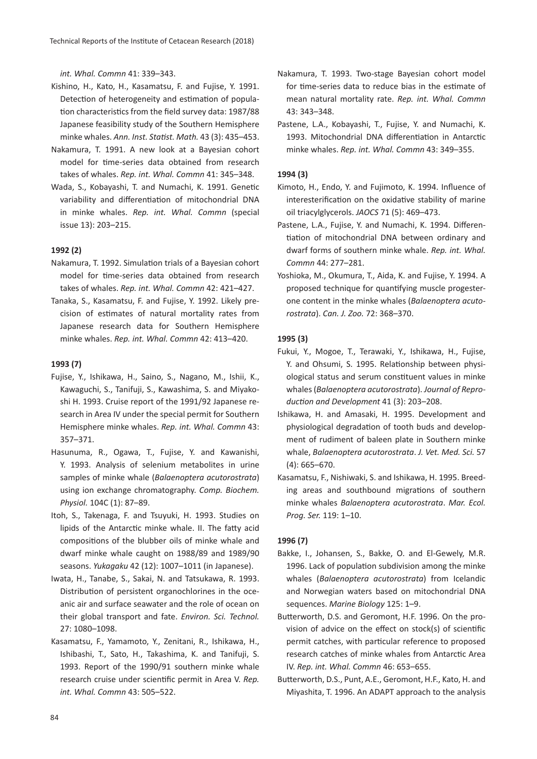*int. Whal. Commn* 41: 339–343.

- Kishino, H., Kato, H., Kasamatsu, F. and Fujise, Y. 1991. Detection of heterogeneity and estimation of population characteristics from the field survey data: 1987/88 Japanese feasibility study of the Southern Hemisphere minke whales. *Ann. Inst. Statist. Math.* 43 (3): 435–453.
- Nakamura, T. 1991. A new look at a Bayesian cohort model for time-series data obtained from research takes of whales. *Rep. int. Whal. Commn* 41: 345–348.
- Wada, S., Kobayashi, T. and Numachi, K. 1991. Genetic variability and differentiation of mitochondrial DNA in minke whales. *Rep. int. Whal. Commn* (special issue 13): 203–215.

#### **1992 (2)**

- Nakamura, T. 1992. Simulation trials of a Bayesian cohort model for time-series data obtained from research takes of whales. *Rep. int. Whal. Commn* 42: 421–427.
- Tanaka, S., Kasamatsu, F. and Fujise, Y. 1992. Likely precision of estimates of natural mortality rates from Japanese research data for Southern Hemisphere minke whales. *Rep. int. Whal. Commn* 42: 413–420.

#### **1993 (7)**

- Fujise, Y., Ishikawa, H., Saino, S., Nagano, M., Ishii, K., Kawaguchi, S., Tanifuji, S., Kawashima, S. and Miyakoshi H. 1993. Cruise report of the 1991/92 Japanese research in Area IV under the special permit for Southern Hemisphere minke whales. *Rep. int. Whal. Commn* 43: 357–371.
- Hasunuma, R., Ogawa, T., Fujise, Y. and Kawanishi, Y. 1993. Analysis of selenium metabolites in urine samples of minke whale (*Balaenoptera acutorostrata*) using ion exchange chromatography. *Comp. Biochem. Physiol.* 104C (1): 87–89.
- Itoh, S., Takenaga, F. and Tsuyuki, H. 1993. Studies on lipids of the Antarctic minke whale. II. The fatty acid compositions of the blubber oils of minke whale and dwarf minke whale caught on 1988/89 and 1989/90 seasons. *Yukagaku* 42 (12): 1007–1011 (in Japanese).
- Iwata, H., Tanabe, S., Sakai, N. and Tatsukawa, R. 1993. Distribution of persistent organochlorines in the oceanic air and surface seawater and the role of ocean on their global transport and fate. *Environ. Sci. Technol.* 27: 1080–1098.
- Kasamatsu, F., Yamamoto, Y., Zenitani, R., Ishikawa, H., Ishibashi, T., Sato, H., Takashima, K. and Tanifuji, S. 1993. Report of the 1990/91 southern minke whale research cruise under scientific permit in Area V. *Rep. int. Whal. Commn* 43: 505–522.
- Nakamura, T. 1993. Two-stage Bayesian cohort model for time-series data to reduce bias in the estimate of mean natural mortality rate. *Rep. int. Whal. Commn* 43: 343–348.
- Pastene, L.A., Kobayashi, T., Fujise, Y. and Numachi, K. 1993. Mitochondrial DNA differentiation in Antarctic minke whales. *Rep. int. Whal. Commn* 43: 349–355.

#### **1994 (3)**

- Kimoto, H., Endo, Y. and Fujimoto, K. 1994. Influence of interesterification on the oxidative stability of marine oil triacylglycerols. *JAOCS* 71 (5): 469–473.
- Pastene, L.A., Fujise, Y. and Numachi, K. 1994. Differentiation of mitochondrial DNA between ordinary and dwarf forms of southern minke whale. *Rep. int. Whal. Commn* 44: 277–281.
- Yoshioka, M., Okumura, T., Aida, K. and Fujise, Y. 1994. A proposed technique for quantifying muscle progesterone content in the minke whales (*Balaenoptera acutorostrata*). *Can. J. Zoo.* 72: 368–370.

#### **1995 (3)**

- Fukui, Y., Mogoe, T., Terawaki, Y., Ishikawa, H., Fujise, Y. and Ohsumi, S. 1995. Relationship between physiological status and serum constituent values in minke whales (*Balaenoptera acutorostrata*). *Journal of Reproduction and Development* 41 (3): 203–208.
- Ishikawa, H. and Amasaki, H. 1995. Development and physiological degradation of tooth buds and development of rudiment of baleen plate in Southern minke whale, *Balaenoptera acutorostrata*. *J. Vet. Med. Sci.* 57 (4): 665–670.
- Kasamatsu, F., Nishiwaki, S. and Ishikawa, H. 1995. Breeding areas and southbound migrations of southern minke whales *Balaenoptera acutorostrata*. *Mar. Ecol. Prog. Ser.* 119: 1–10.

#### **1996 (7)**

- Bakke, I., Johansen, S., Bakke, O. and El-Gewely, M.R. 1996. Lack of population subdivision among the minke whales (*Balaenoptera acutorostrata*) from Icelandic and Norwegian waters based on mitochondrial DNA sequences. *Marine Biology* 125: 1–9.
- Butterworth, D.S. and Geromont, H.F. 1996. On the provision of advice on the effect on stock(s) of scientific permit catches, with particular reference to proposed research catches of minke whales from Antarctic Area IV. *Rep. int. Whal. Commn* 46: 653–655.
- Butterworth, D.S., Punt, A.E., Geromont, H.F., Kato, H. and Miyashita, T. 1996. An ADAPT approach to the analysis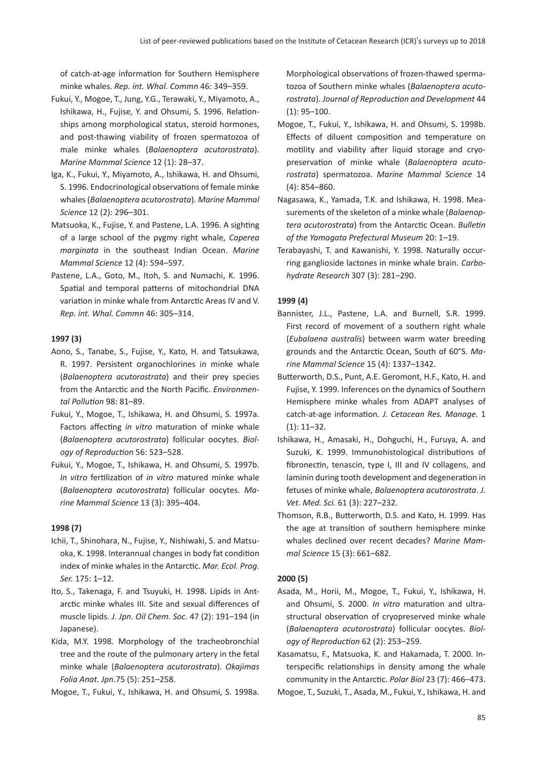of catch-at-age information for Southern Hemisphere minke whales. *Rep. int. Whal. Commn* 46: 349–359.

- Fukui, Y., Mogoe, T., Jung, Y.G., Terawaki, Y., Miyamoto, A., Ishikawa, H., Fujise, Y. and Ohsumi, S. 1996. Relationships among morphological status, steroid hormones, and post-thawing viability of frozen spermatozoa of male minke whales (*Balaenoptera acutorostrata*). *Marine Mammal Science* 12 (1): 28–37.
- Iga, K., Fukui, Y., Miyamoto, A., Ishikawa, H. and Ohsumi, S. 1996. Endocrinological observations of female minke whales (*Balaenoptera acutorostrata*). *Marine Mammal Science* 12 (2): 296–301.
- Matsuoka, K., Fujise, Y. and Pastene, L.A. 1996. A sighting of a large school of the pygmy right whale, *Caperea marginata* in the southeast Indian Ocean. *Marine Mammal Science* 12 (4): 594–597.
- Pastene, L.A., Goto, M., Itoh, S. and Numachi, K. 1996. Spatial and temporal patterns of mitochondrial DNA variation in minke whale from Antarctic Areas IV and V. *Rep. int. Whal. Commn* 46: 305–314.

#### **1997 (3)**

- Aono, S., Tanabe, S., Fujise, Y., Kato, H. and Tatsukawa, R. 1997. Persistent organochlorines in minke whale (*Balaenoptera acutorostrata*) and their prey species from the Antarctic and the North Pacific. *Environmental Pollution* 98: 81–89.
- Fukui, Y., Mogoe, T., Ishikawa, H. and Ohsumi, S. 1997a. Factors affecting *in vitro* maturation of minke whale (*Balaenoptera acutorostrata*) follicular oocytes. *Biology of Reproduction* 56: 523–528.
- Fukui, Y., Mogoe, T., Ishikawa, H. and Ohsumi, S. 1997b. *In vitro* fertilization of *in vitro* matured minke whale (*Balaenoptera acutorostrata*) follicular oocytes. *Marine Mammal Science* 13 (3): 395–404.

#### **1998 (7)**

- Ichii, T., Shinohara, N., Fujise, Y., Nishiwaki, S. and Matsuoka, K. 1998. Interannual changes in body fat condition index of minke whales in the Antarctic. *Mar. Ecol. Prog. Ser.* 175: 1–12.
- Ito, S., Takenaga, F. and Tsuyuki, H. 1998. Lipids in Antarctic minke whales III. Site and sexual differences of muscle lipids. *J. Jpn. Oil Chem. Soc.* 47 (2): 191–194 (in Japanese).
- Kida, M.Y. 1998. Morphology of the tracheobronchial tree and the route of the pulmonary artery in the fetal minke whale (*Balaenoptera acutorostrata*). *Okajimas Folia Anat. Jpn.*75 (5): 251–258.
- Mogoe, T., Fukui, Y., Ishikawa, H. and Ohsumi, S. 1998a.

Morphological observations of frozen-thawed spermatozoa of Southern minke whales (*Balaenoptera acutorostrata*). *Journal of Reproduction and Development* 44 (1): 95–100.

- Mogoe, T., Fukui, Y., Ishikawa, H. and Ohsumi, S. 1998b. Effects of diluent composition and temperature on motility and viability after liquid storage and cryopreservation of minke whale (*Balaenoptera acutorostrata*) spermatozoa. *Marine Mammal Science* 14 (4): 854–860.
- Nagasawa, K., Yamada, T.K. and Ishikawa, H. 1998. Measurements of the skeleton of a minke whale (*Balaenoptera acutorostrata*) from the Antarctic Ocean. *Bulletin of the Yamagata Prefectural Museum* 20: 1–19.
- Terabayashi, T. and Kawanishi, Y. 1998. Naturally occurring ganglioside lactones in minke whale brain. *Carbohydrate Research* 307 (3): 281–290.

#### **1999 (4)**

- Bannister, J.L., Pastene, L.A. and Burnell, S.R. 1999. First record of movement of a southern right whale (*Eubalaena australis*) between warm water breeding grounds and the Antarctic Ocean, South of 60°S. *Marine Mammal Science* 15 (4): 1337–1342.
- Butterworth, D.S., Punt, A.E. Geromont, H.F., Kato, H. and Fujise, Y. 1999. Inferences on the dynamics of Southern Hemisphere minke whales from ADAPT analyses of catch-at-age information. *J. Cetacean Res. Manage.* 1 (1): 11–32.
- Ishikawa, H., Amasaki, H., Dohguchi, H., Furuya, A. and Suzuki, K. 1999. Immunohistological distributions of fibronectin, tenascin, type I, III and IV collagens, and laminin during tooth development and degeneration in fetuses of minke whale, *Balaenoptera acutorostrata*. *J. Vet. Med. Sci.* 61 (3): 227–232.
- Thomson, R.B., Butterworth, D.S. and Kato, H. 1999. Has the age at transition of southern hemisphere minke whales declined over recent decades? *Marine Mammal Science* 15 (3): 661–682.

#### **2000 (5)**

Asada, M., Horii, M., Mogoe, T., Fukui, Y., Ishikawa, H. and Ohsumi, S. 2000. *In vitro* maturation and ultrastructural observation of cryopreserved minke whale (*Balaenoptera acutorostrata*) follicular oocytes. *Biology of Reproduction* 62 (2): 253–259.

Kasamatsu, F., Matsuoka, K. and Hakamada, T. 2000. Interspecific relationships in density among the whale community in the Antarctic. *Polar Biol* 23 (7): 466–473.

Mogoe, T., Suzuki, T., Asada, M., Fukui, Y., Ishikawa, H. and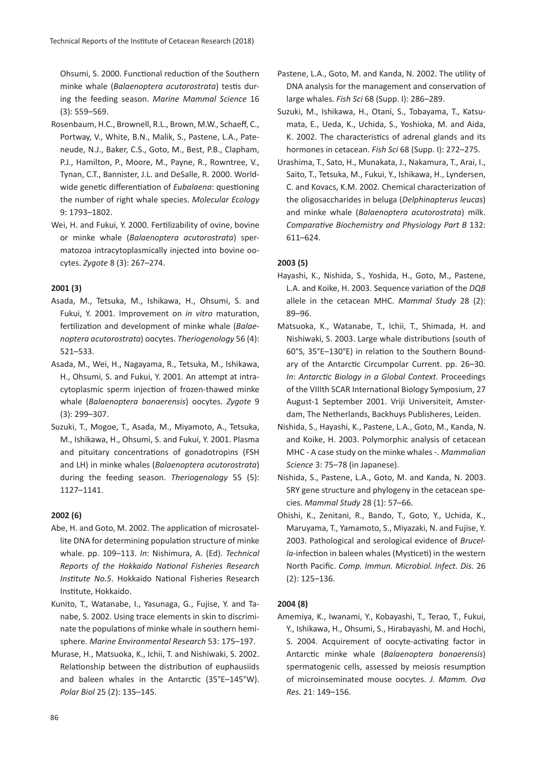Ohsumi, S. 2000. Functional reduction of the Southern minke whale (*Balaenoptera acutorostrata*) testis during the feeding season. *Marine Mammal Science* 16 (3): 559–569.

- Rosenbaum, H.C., Brownell, R.L., Brown, M.W., Schaeff, C., Portway, V., White, B.N., Malik, S., Pastene, L.A., Pateneude, N.J., Baker, C.S., Goto, M., Best, P.B., Clapham, P.J., Hamilton, P., Moore, M., Payne, R., Rowntree, V., Tynan, C.T., Bannister, J.L. and DeSalle, R. 2000. Worldwide genetic differentiation of *Eubalaena*: questioning the number of right whale species. *Molecular Ecology* 9: 1793–1802.
- Wei, H. and Fukui, Y. 2000. Fertilizability of ovine, bovine or minke whale (*Balaenoptera acutorostrata*) spermatozoa intracytoplasmically injected into bovine oocytes. *Zygote* 8 (3): 267–274.

# **2001 (3)**

- Asada, M., Tetsuka, M., Ishikawa, H., Ohsumi, S. and Fukui, Y. 2001. Improvement on *in vitro* maturation, fertilization and development of minke whale (*Balaenoptera acutorostrata*) oocytes. *Theriogenology* 56 (4): 521–533.
- Asada, M., Wei, H., Nagayama, R., Tetsuka, M., Ishikawa, H., Ohsumi, S. and Fukui, Y. 2001. An attempt at intracytoplasmic sperm injection of frozen-thawed minke whale (*Balaenoptera bonaerensis*) oocytes. *Zygote* 9 (3): 299–307.
- Suzuki, T., Mogoe, T., Asada, M., Miyamoto, A., Tetsuka, M., Ishikawa, H., Ohsumi, S. and Fukui, Y. 2001. Plasma and pituitary concentrations of gonadotropins (FSH and LH) in minke whales (*Balaenoptera acutorostrata*) during the feeding season. *Theriogenology* 55 (5): 1127–1141.

#### **2002 (6)**

- Abe, H. and Goto, M. 2002. The application of microsatellite DNA for determining population structure of minke whale. pp. 109–113. *In*: Nishimura, A. (Ed). *Technical Reports of the Hokkaido National Fisheries Research Institute No.5*. Hokkaido National Fisheries Research Institute, Hokkaido.
- Kunito, T., Watanabe, I., Yasunaga, G., Fujise, Y. and Tanabe, S. 2002. Using trace elements in skin to discriminate the populations of minke whale in southern hemisphere. *Marine Environmental Research* 53: 175–197.
- Murase, H., Matsuoka, K., Ichii, T. and Nishiwaki, S. 2002. Relationship between the distribution of euphausiids and baleen whales in the Antarctic (35°E–145°W). *Polar Biol* 25 (2): 135–145.
- Pastene, L.A., Goto, M. and Kanda, N. 2002. The utility of DNA analysis for the management and conservation of large whales. *Fish Sci* 68 (Supp. I): 286–289.
- Suzuki, M., Ishikawa, H., Otani, S., Tobayama, T., Katsumata, E., Ueda, K., Uchida, S., Yoshioka, M. and Aida, K. 2002. The characteristics of adrenal glands and its hormones in cetacean. *Fish Sci* 68 (Supp. I): 272–275.
- Urashima, T., Sato, H., Munakata, J., Nakamura, T., Arai, I., Saito, T., Tetsuka, M., Fukui, Y., Ishikawa, H., Lyndersen, C. and Kovacs, K.M. 2002. Chemical characterization of the oligosaccharides in beluga (*Delphinapterus leucas*) and minke whale (*Balaenoptera acutorostrata*) milk. *Comparative Biochemistry and Physiology Part B* 132: 611–624.

#### **2003 (5)**

- Hayashi, K., Nishida, S., Yoshida, H., Goto, M., Pastene, L.A. and Koike, H. 2003. Sequence variation of the *DQB* allele in the cetacean MHC. *Mammal Study* 28 (2): 89–96.
- Matsuoka, K., Watanabe, T., Ichii, T., Shimada, H. and Nishiwaki, S. 2003. Large whale distributions (south of 60°S, 35°E–130°E) in relation to the Southern Boundary of the Antarctic Circumpolar Current. pp. 26–30. *In*: *Antarctic Biology in a Global Context.* Proceedings of the VIIIth SCAR International Biology Symposium, 27 August-1 September 2001. Vriji Universiteit, Amsterdam, The Netherlands, Backhuys Publisheres, Leiden.
- Nishida, S., Hayashi, K., Pastene, L.A., Goto, M., Kanda, N. and Koike, H. 2003. Polymorphic analysis of cetacean MHC - A case study on the minke whales -. *Mammalian Science* 3: 75–78 (in Japanese).
- Nishida, S., Pastene, L.A., Goto, M. and Kanda, N. 2003. SRY gene structure and phylogeny in the cetacean species. *Mammal Study* 28 (1): 57–66.
- Ohishi, K., Zenitani, R., Bando, T., Goto, Y., Uchida, K., Maruyama, T., Yamamoto, S., Miyazaki, N. and Fujise, Y. 2003. Pathological and serological evidence of *Brucella*-infection in baleen whales (Mysticeti) in the western North Pacific. *Comp. Immun. Microbiol. Infect. Dis.* 26 (2): 125–136.

#### **2004 (8)**

Amemiya, K., Iwanami, Y., Kobayashi, T., Terao, T., Fukui, Y., Ishikawa, H., Ohsumi, S., Hirabayashi, M. and Hochi, S. 2004. Acquirement of oocyte-activating factor in Antarctic minke whale (*Balaenoptera bonaerensis*) spermatogenic cells, assessed by meiosis resumption of microinseminated mouse oocytes. *J. Mamm. Ova Res.* 21: 149–156.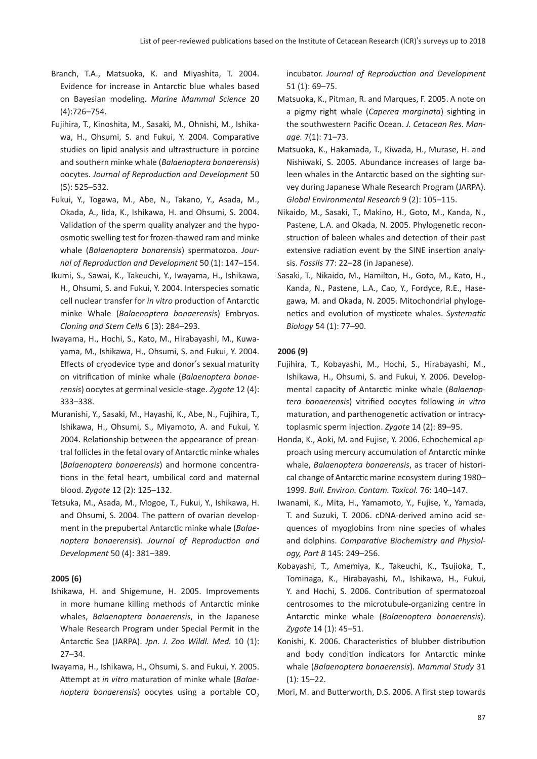- Branch, T.A., Matsuoka, K. and Miyashita, T. 2004. Evidence for increase in Antarctic blue whales based on Bayesian modeling. *Marine Mammal Science* 20 (4):726–754.
- Fujihira, T., Kinoshita, M., Sasaki, M., Ohnishi, M., Ishikawa, H., Ohsumi, S. and Fukui, Y. 2004. Comparative studies on lipid analysis and ultrastructure in porcine and southern minke whale (*Balaenoptera bonaerensis*) oocytes. *Journal of Reproduction and Development* 50 (5): 525–532.
- Fukui, Y., Togawa, M., Abe, N., Takano, Y., Asada, M., Okada, A., Iida, K., Ishikawa, H. and Ohsumi, S. 2004. Validation of the sperm quality analyzer and the hypoosmotic swelling test for frozen-thawed ram and minke whale (*Balaenoptera bonarensis*) spermatozoa. *Journal of Reproduction and Development* 50 (1): 147–154.
- Ikumi, S., Sawai, K., Takeuchi, Y., Iwayama, H., Ishikawa, H., Ohsumi, S. and Fukui, Y. 2004. Interspecies somatic cell nuclear transfer for *in vitro* production of Antarctic minke Whale (*Balaenoptera bonaerensis*) Embryos. *Cloning and Stem Cells* 6 (3): 284–293.
- Iwayama, H., Hochi, S., Kato, M., Hirabayashi, M., Kuwayama, M., Ishikawa, H., Ohsumi, S. and Fukui, Y. 2004. Effects of cryodevice type and donor's sexual maturity on vitrification of minke whale (*Balaenoptera bonaerensis*) oocytes at germinal vesicle-stage. *Zygote* 12 (4): 333–338.
- Muranishi, Y., Sasaki, M., Hayashi, K., Abe, N., Fujihira, T., Ishikawa, H., Ohsumi, S., Miyamoto, A. and Fukui, Y. 2004. Relationship between the appearance of preantral follicles in the fetal ovary of Antarctic minke whales (*Balaenoptera bonaerensis*) and hormone concentrations in the fetal heart, umbilical cord and maternal blood. *Zygote* 12 (2): 125–132.
- Tetsuka, M., Asada, M., Mogoe, T., Fukui, Y., Ishikawa, H. and Ohsumi, S. 2004. The pattern of ovarian development in the prepubertal Antarctic minke whale (*Balaenoptera bonaerensis*). *Journal of Reproduction and Development* 50 (4): 381–389.

#### **2005 (6)**

- Ishikawa, H. and Shigemune, H. 2005. Improvements in more humane killing methods of Antarctic minke whales, *Balaenoptera bonaerensis*, in the Japanese Whale Research Program under Special Permit in the Antarctic Sea (JARPA). *Jpn. J. Zoo Wildl. Med.* 10 (1): 27–34.
- Iwayama, H., Ishikawa, H., Ohsumi, S. and Fukui, Y. 2005. Attempt at *in vitro* maturation of minke whale (*Balaenoptera bonaerensis*) oocytes using a portable CO<sub>2</sub>

incubator. *Journal of Reproduction and Development* 51 (1): 69–75.

- Matsuoka, K., Pitman, R. and Marques, F. 2005. A note on a pigmy right whale (*Caperea marginata*) sighting in the southwestern Pacific Ocean. *J. Cetacean Res. Manage.* 7(1): 71–73.
- Matsuoka, K., Hakamada, T., Kiwada, H., Murase, H. and Nishiwaki, S. 2005. Abundance increases of large baleen whales in the Antarctic based on the sighting survey during Japanese Whale Research Program (JARPA). *Global Environmental Research* 9 (2): 105–115.
- Nikaido, M., Sasaki, T., Makino, H., Goto, M., Kanda, N., Pastene, L.A. and Okada, N. 2005. Phylogenetic reconstruction of baleen whales and detection of their past extensive radiation event by the SINE insertion analysis. *Fossils* 77: 22–28 (in Japanese).
- Sasaki, T., Nikaido, M., Hamilton, H., Goto, M., Kato, H., Kanda, N., Pastene, L.A., Cao, Y., Fordyce, R.E., Hasegawa, M. and Okada, N. 2005. Mitochondrial phylogenetics and evolution of mysticete whales. *Systematic Biology* 54 (1): 77–90.

#### **2006 (9)**

- Fujihira, T., Kobayashi, M., Hochi, S., Hirabayashi, M., Ishikawa, H., Ohsumi, S. and Fukui, Y. 2006. Developmental capacity of Antarctic minke whale (*Balaenoptera bonaerensis*) vitrified oocytes following *in vitro* maturation, and parthenogenetic activation or intracytoplasmic sperm injection. *Zygote* 14 (2): 89–95.
- Honda, K., Aoki, M. and Fujise, Y. 2006. Echochemical approach using mercury accumulation of Antarctic minke whale, *Balaenoptera bonaerensis*, as tracer of historical change of Antarctic marine ecosystem during 1980– 1999. *Bull. Environ. Contam. Toxicol.* 76: 140–147.
- Iwanami, K., Mita, H., Yamamoto, Y., Fujise, Y., Yamada, T. and Suzuki, T. 2006. cDNA-derived amino acid sequences of myoglobins from nine species of whales and dolphins. *Comparative Biochemistry and Physiology, Part B* 145: 249–256.
- Kobayashi, T., Amemiya, K., Takeuchi, K., Tsujioka, T., Tominaga, K., Hirabayashi, M., Ishikawa, H., Fukui, Y. and Hochi, S. 2006. Contribution of spermatozoal centrosomes to the microtubule-organizing centre in Antarctic minke whale (*Balaenoptera bonaerensis*). *Zygote* 14 (1): 45–51.
- Konishi, K. 2006. Characteristics of blubber distribution and body condition indicators for Antarctic minke whale (*Balaenoptera bonaerensis*). *Mammal Study* 31 (1): 15–22.
- Mori, M. and Butterworth, D.S. 2006. A first step towards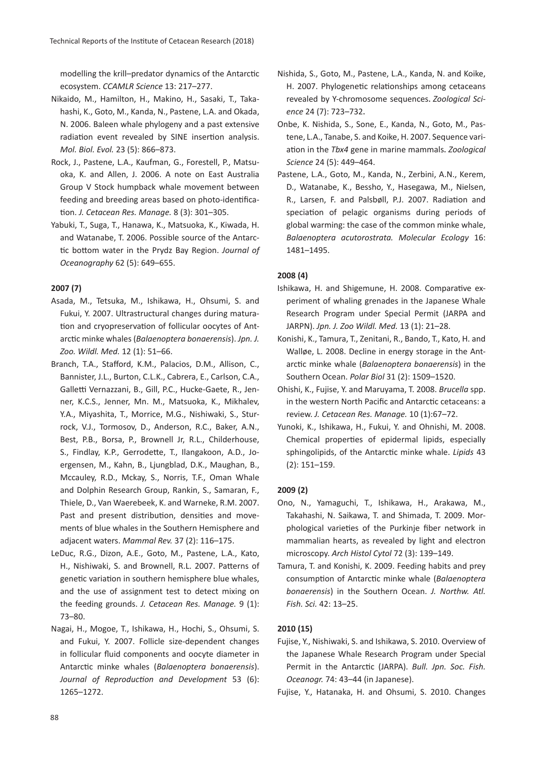modelling the krill–predator dynamics of the Antarctic ecosystem. *CCAMLR Science* 13: 217–277.

- Nikaido, M., Hamilton, H., Makino, H., Sasaki, T., Takahashi, K., Goto, M., Kanda, N., Pastene, L.A. and Okada, N. 2006. Baleen whale phylogeny and a past extensive radiation event revealed by SINE insertion analysis. *Mol. Biol. Evol.* 23 (5): 866–873.
- Rock, J., Pastene, L.A., Kaufman, G., Forestell, P., Matsuoka, K. and Allen, J. 2006. A note on East Australia Group V Stock humpback whale movement between feeding and breeding areas based on photo-identification. *J. Cetacean Res. Manage.* 8 (3): 301–305.
- Yabuki, T., Suga, T., Hanawa, K., Matsuoka, K., Kiwada, H. and Watanabe, T. 2006. Possible source of the Antarctic bottom water in the Prydz Bay Region. *Journal of Oceanography* 62 (5): 649–655.

## **2007 (7)**

- Asada, M., Tetsuka, M., Ishikawa, H., Ohsumi, S. and Fukui, Y. 2007. Ultrastructural changes during maturation and cryopreservation of follicular oocytes of Antarctic minke whales (*Balaenoptera bonaerensis*). *Jpn. J. Zoo. Wildl. Med.* 12 (1): 51–66.
- Branch, T.A., Stafford, K.M., Palacios, D.M., Allison, C., Bannister, J.L., Burton, C.L.K., Cabrera, E., Carlson, C.A., Galletti Vernazzani, B., Gill, P.C., Hucke-Gaete, R., Jenner, K.C.S., Jenner, Mn. M., Matsuoka, K., Mikhalev, Y.A., Miyashita, T., Morrice, M.G., Nishiwaki, S., Sturrock, V.J., Tormosov, D., Anderson, R.C., Baker, A.N., Best, P.B., Borsa, P., Brownell Jr, R.L., Childerhouse, S., Findlay, K.P., Gerrodette, T., Ilangakoon, A.D., Joergensen, M., Kahn, B., Ljungblad, D.K., Maughan, B., Mccauley, R.D., Mckay, S., Norris, T.F., Oman Whale and Dolphin Research Group, Rankin, S., Samaran, F., Thiele, D., Van Waerebeek, K. and Warneke, R.M. 2007. Past and present distribution, densities and movements of blue whales in the Southern Hemisphere and adjacent waters. *Mammal Rev.* 37 (2): 116–175.
- LeDuc, R.G., Dizon, A.E., Goto, M., Pastene, L.A., Kato, H., Nishiwaki, S. and Brownell, R.L. 2007. Patterns of genetic variation in southern hemisphere blue whales, and the use of assignment test to detect mixing on the feeding grounds. *J. Cetacean Res. Manage.* 9 (1): 73–80.
- Nagai, H., Mogoe, T., Ishikawa, H., Hochi, S., Ohsumi, S. and Fukui, Y. 2007. Follicle size-dependent changes in follicular fluid components and oocyte diameter in Antarctic minke whales (*Balaenoptera bonaerensis*). *Journal of Reproduction and Development* 53 (6): 1265–1272.
- Nishida, S., Goto, M., Pastene, L.A., Kanda, N. and Koike, H. 2007. Phylogenetic relationships among cetaceans revealed by Y-chromosome sequences.*Zoological Science* 24 (7): 723–732.
- Onbe, K. Nishida, S., Sone, E., Kanda, N., Goto, M., Pastene, L.A., Tanabe, S. and Koike, H. 2007. Sequence variation in the *Tbx4* gene in marine mammals.*Zoological Science* 24 (5): 449–464.
- Pastene, L.A., Goto, M., Kanda, N., Zerbini, A.N., Kerem, D., Watanabe, K., Bessho, Y., Hasegawa, M., Nielsen, R., Larsen, F. and Palsbøll, P.J. 2007. Radiation and speciation of pelagic organisms during periods of global warming: the case of the common minke whale, *Balaenoptera acutorostrata. Molecular Ecology* 16: 1481–1495.

#### **2008 (4)**

- Ishikawa, H. and Shigemune, H. 2008. Comparative experiment of whaling grenades in the Japanese Whale Research Program under Special Permit (JARPA and JARPN). *Jpn. J. Zoo Wildl. Med.* 13 (1): 21–28.
- Konishi, K., Tamura, T., Zenitani, R., Bando, T., Kato, H. and Walløe, L. 2008. Decline in energy storage in the Antarctic minke whale (*Balaenoptera bonaerensis*) in the Southern Ocean. *Polar Biol* 31 (2): 1509–1520.
- Ohishi, K., Fujise, Y. and Maruyama, T. 2008. *Brucella* spp. in the western North Pacific and Antarctic cetaceans: a review. *J. Cetacean Res. Manage.* 10 (1):67–72.
- Yunoki, K., Ishikawa, H., Fukui, Y. and Ohnishi, M. 2008. Chemical properties of epidermal lipids, especially sphingolipids, of the Antarctic minke whale. *Lipids* 43 (2): 151–159.

#### **2009 (2)**

- Ono, N., Yamaguchi, T., Ishikawa, H., Arakawa, M., Takahashi, N. Saikawa, T. and Shimada, T. 2009. Morphological varieties of the Purkinje fiber network in mammalian hearts, as revealed by light and electron microscopy. *Arch Histol Cytol* 72 (3): 139–149.
- Tamura, T. and Konishi, K. 2009. Feeding habits and prey consumption of Antarctic minke whale (*Balaenoptera bonaerensis*) in the Southern Ocean. *J. Northw. Atl. Fish. Sci.* 42: 13–25.

#### **2010 (15)**

- Fujise, Y., Nishiwaki, S. and Ishikawa, S. 2010. Overview of the Japanese Whale Research Program under Special Permit in the Antarctic (JARPA). *Bull. Jpn. Soc. Fish. Oceanogr.* 74: 43–44 (in Japanese).
- Fujise, Y., Hatanaka, H. and Ohsumi, S. 2010. Changes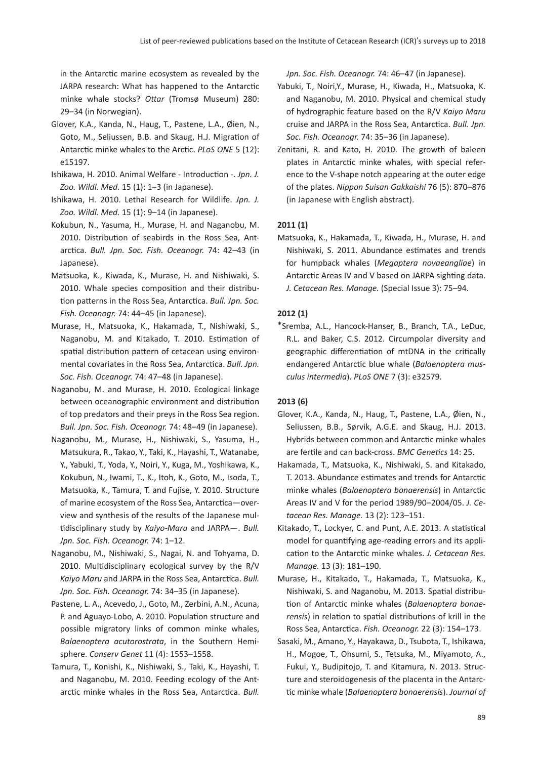in the Antarctic marine ecosystem as revealed by the JARPA research: What has happened to the Antarctic minke whale stocks? *Ottar* (Tromsø Museum) 280: 29–34 (in Norwegian).

- Glover, K.A., Kanda, N., Haug, T., Pastene, L.A., Øien, N., Goto, M., Seliussen, B.B. and Skaug, H.J. Migration of Antarctic minke whales to the Arctic. *PLoS ONE* 5 (12): e15197.
- Ishikawa, H. 2010. Animal Welfare Introduction -. *Jpn. J. Zoo. Wildl. Med.* 15 (1): 1–3 (in Japanese).
- Ishikawa, H. 2010. Lethal Research for Wildlife. *Jpn. J. Zoo. Wildl. Med.* 15 (1): 9–14 (in Japanese).
- Kokubun, N., Yasuma, H., Murase, H. and Naganobu, M. 2010. Distribution of seabirds in the Ross Sea, Antarctica. *Bull. Jpn. Soc. Fish. Oceanogr.* 74: 42–43 (in Japanese).
- Matsuoka, K., Kiwada, K., Murase, H. and Nishiwaki, S. 2010. Whale species composition and their distribution patterns in the Ross Sea, Antarctica. *Bull. Jpn. Soc. Fish. Oceanogr.* 74: 44–45 (in Japanese).
- Murase, H., Matsuoka, K., Hakamada, T., Nishiwaki, S., Naganobu, M. and Kitakado, T. 2010. Estimation of spatial distribution pattern of cetacean using environmental covariates in the Ross Sea, Antarctica. *Bull. Jpn. Soc. Fish. Oceanogr.* 74: 47–48 (in Japanese).
- Naganobu, M. and Murase, H. 2010. Ecological linkage between oceanographic environment and distribution of top predators and their preys in the Ross Sea region. *Bull. Jpn. Soc. Fish. Oceanogr.* 74: 48–49 (in Japanese).
- Naganobu, M., Murase, H., Nishiwaki, S., Yasuma, H., Matsukura, R., Takao, Y., Taki, K., Hayashi, T., Watanabe, Y., Yabuki, T., Yoda, Y., Noiri, Y., Kuga, M., Yoshikawa, K., Kokubun, N., Iwami, T., K., Itoh, K., Goto, M., Isoda, T., Matsuoka, K., Tamura, T. and Fujise, Y. 2010. Structure of marine ecosystem of the Ross Sea, Antarctica—overview and synthesis of the results of the Japanese multidisciplinary study by *Kaiyo-Maru* and JARPA—. *Bull. Jpn. Soc. Fish. Oceanogr.* 74: 1–12.
- Naganobu, M., Nishiwaki, S., Nagai, N. and Tohyama, D. 2010. Multidisciplinary ecological survey by the R/V *Kaiyo Maru* and JARPA in the Ross Sea, Antarctica. *Bull. Jpn. Soc. Fish. Oceanogr.* 74: 34–35 (in Japanese).
- Pastene, L. A., Acevedo, J., Goto, M., Zerbini, A.N., Acuna, P. and Aguayo-Lobo, A. 2010. Population structure and possible migratory links of common minke whales, *Balaenoptera acutorostrata*, in the Southern Hemisphere. *Conserv Genet* 11 (4): 1553–1558.
- Tamura, T., Konishi, K., Nishiwaki, S., Taki, K., Hayashi, T. and Naganobu, M. 2010. Feeding ecology of the Antarctic minke whales in the Ross Sea, Antarctica. *Bull.*

*Jpn. Soc. Fish. Oceanogr.* 74: 46–47 (in Japanese).

- Yabuki, T., Noiri,Y., Murase, H., Kiwada, H., Matsuoka, K. and Naganobu, M. 2010. Physical and chemical study of hydrographic feature based on the R/V *Kaiyo Maru* cruise and JARPA in the Ross Sea, Antarctica. *Bull. Jpn. Soc. Fish. Oceanogr.* 74: 35–36 (in Japanese).
- Zenitani, R. and Kato, H. 2010. The growth of baleen plates in Antarctic minke whales, with special reference to the V-shape notch appearing at the outer edge of the plates. *Nippon Suisan Gakkaishi* 76 (5): 870–876 (in Japanese with English abstract).

## **2011 (1)**

Matsuoka, K., Hakamada, T., Kiwada, H., Murase, H. and Nishiwaki, S. 2011. Abundance estimates and trends for humpback whales (*Megaptera novaeangliae*) in Antarctic Areas IV and V based on JARPA sighting data. *J. Cetacean Res. Manage.* (Special Issue 3): 75–94.

#### **2012 (1)**

\*Sremba, A.L., Hancock-Hanser, B., Branch, T.A., LeDuc, R.L. and Baker, C.S. 2012. Circumpolar diversity and geographic differentiation of mtDNA in the critically endangered Antarctic blue whale (*Balaenoptera musculus intermedia*). *PLoS ONE* 7 (3): e32579.

# **2013 (6)**

- Glover, K.A., Kanda, N., Haug, T., Pastene, L.A., Øien, N., Seliussen, B.B., Sørvik, A.G.E. and Skaug, H.J. 2013. Hybrids between common and Antarctic minke whales are fertile and can back-cross. *BMC Genetics* 14: 25.
- Hakamada, T., Matsuoka, K., Nishiwaki, S. and Kitakado, T. 2013. Abundance estimates and trends for Antarctic minke whales (*Balaenoptera bonaerensis*) in Antarctic Areas IV and V for the period 1989/90–2004/05. *J. Cetacean Res. Manage.* 13 (2): 123–151.
- Kitakado, T., Lockyer, C. and Punt, A.E. 2013. A statistical model for quantifying age-reading errors and its application to the Antarctic minke whales. *J. Cetacean Res. Manage.* 13 (3): 181–190.
- Murase, H., Kitakado, T., Hakamada, T., Matsuoka, K., Nishiwaki, S. and Naganobu, M. 2013. Spatial distribution of Antarctic minke whales (*Balaenoptera bonaerensis*) in relation to spatial distributions of krill in the Ross Sea, Antarctica. *Fish. Oceanogr.* 22 (3): 154–173.
- Sasaki, M., Amano, Y., Hayakawa, D., Tsubota, T., Ishikawa, H., Mogoe, T., Ohsumi, S., Tetsuka, M., Miyamoto, A., Fukui, Y., Budipitojo, T. and Kitamura, N. 2013. Structure and steroidogenesis of the placenta in the Antarctic minke whale (*Balaenoptera bonaerensis*). *Journal of*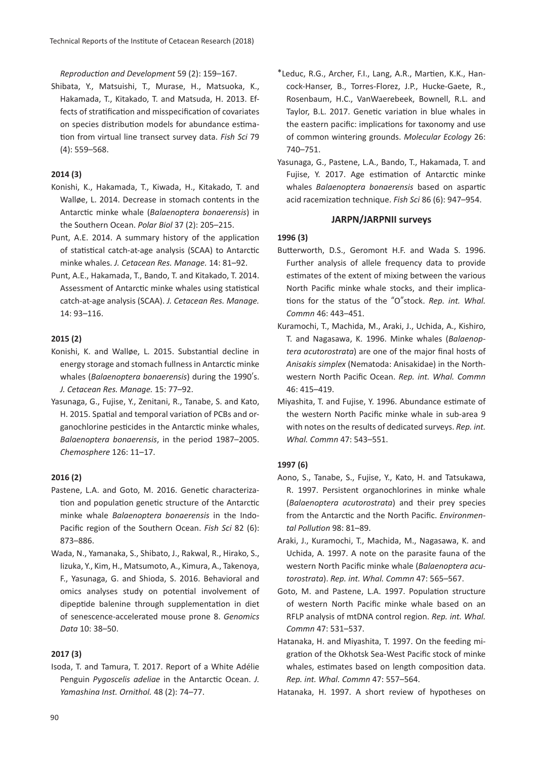*Reproduction and Development* 59 (2): 159–167.

Shibata, Y., Matsuishi, T., Murase, H., Matsuoka, K., Hakamada, T., Kitakado, T. and Matsuda, H. 2013. Effects of stratification and misspecification of covariates on species distribution models for abundance estimation from virtual line transect survey data. *Fish Sci* 79 (4): 559–568.

## **2014 (3)**

- Konishi, K., Hakamada, T., Kiwada, H., Kitakado, T. and Walløe, L. 2014. Decrease in stomach contents in the Antarctic minke whale (*Balaenoptera bonaerensis*) in the Southern Ocean. *Polar Biol* 37 (2): 205–215.
- Punt, A.E. 2014. A summary history of the application of statistical catch-at-age analysis (SCAA) to Antarctic minke whales. *J. Cetacean Res. Manage.* 14: 81–92.
- Punt, A.E., Hakamada, T., Bando, T. and Kitakado, T. 2014. Assessment of Antarctic minke whales using statistical catch-at-age analysis (SCAA). *J. Cetacean Res. Manage.* 14: 93–116.

## **2015 (2)**

- Konishi, K. and Walløe, L. 2015. Substantial decline in energy storage and stomach fullness in Antarctic minke whales (*Balaenoptera bonaerensis*) during the 1990's. *J. Cetacean Res. Manage.* 15: 77–92.
- Yasunaga, G., Fujise, Y., Zenitani, R., Tanabe, S. and Kato, H. 2015. Spatial and temporal variation of PCBs and organochlorine pesticides in the Antarctic minke whales, *Balaenoptera bonaerensis*, in the period 1987–2005. *Chemosphere* 126: 11–17.

#### **2016 (2)**

- Pastene, L.A. and Goto, M. 2016. Genetic characterization and population genetic structure of the Antarctic minke whale *Balaenoptera bonaerensis* in the Indo-Pacific region of the Southern Ocean. *Fish Sci* 82 (6): 873–886.
- Wada, N., Yamanaka, S., Shibato, J., Rakwal, R., Hirako, S., Iizuka, Y., Kim, H., Matsumoto, A., Kimura, A., Takenoya, F., Yasunaga, G. and Shioda, S. 2016. Behavioral and omics analyses study on potential involvement of dipeptide balenine through supplementation in diet of senescence-accelerated mouse prone 8. *Genomics Data* 10: 38–50.

#### **2017 (3)**

Isoda, T. and Tamura, T. 2017. Report of a White Adélie Penguin *Pygoscelis adeliae* in the Antarctic Ocean. *J. Yamashina Inst. Ornithol.* 48 (2): 74–77.

- \*Leduc, R.G., Archer, F.I., Lang, A.R., Martien, K.K., Hancock-Hanser, B., Torres-Florez, J.P., Hucke-Gaete, R., Rosenbaum, H.C., VanWaerebeek, Bownell, R.L. and Taylor, B.L. 2017. Genetic variation in blue whales in the eastern pacific: implications for taxonomy and use of common wintering grounds. *Molecular Ecology* 26: 740–751.
- Yasunaga, G., Pastene, L.A., Bando, T., Hakamada, T. and Fujise, Y. 2017. Age estimation of Antarctic minke whales *Balaenoptera bonaerensis* based on aspartic acid racemization technique. *Fish Sci* 86 (6): 947–954.

#### **JARPN/JARPNII surveys**

#### **1996 (3)**

- Butterworth, D.S., Geromont H.F. and Wada S. 1996. Further analysis of allele frequency data to provide estimates of the extent of mixing between the various North Pacific minke whale stocks, and their implications for the status of the "O"stock. *Rep. int. Whal. Commn* 46: 443–451.
- Kuramochi, T., Machida, M., Araki, J., Uchida, A., Kishiro, T. and Nagasawa, K. 1996. Minke whales (*Balaenoptera acutorostrata*) are one of the major final hosts of *Anisakis simplex* (Nematoda: Anisakidae) in the Northwestern North Pacific Ocean. *Rep. int. Whal. Commn* 46: 415–419.
- Miyashita, T. and Fujise, Y. 1996. Abundance estimate of the western North Pacific minke whale in sub-area 9 with notes on the results of dedicated surveys. *Rep. int. Whal. Commn* 47: 543–551.

# **1997 (6)**

- Aono, S., Tanabe, S., Fujise, Y., Kato, H. and Tatsukawa, R. 1997. Persistent organochlorines in minke whale (*Balaenoptera acutorostrata*) and their prey species from the Antarctic and the North Pacific. *Environmental Pollution* 98: 81–89.
- Araki, J., Kuramochi, T., Machida, M., Nagasawa, K. and Uchida, A. 1997. A note on the parasite fauna of the western North Pacific minke whale (*Balaenoptera acutorostrata*). *Rep. int. Whal. Commn* 47: 565–567.
- Goto, M. and Pastene, L.A. 1997. Population structure of western North Pacific minke whale based on an RFLP analysis of mtDNA control region. *Rep. int. Whal. Commn* 47: 531–537.
- Hatanaka, H. and Miyashita, T. 1997. On the feeding migration of the Okhotsk Sea-West Pacific stock of minke whales, estimates based on length composition data. *Rep. int. Whal. Commn* 47: 557–564.
- Hatanaka, H. 1997. A short review of hypotheses on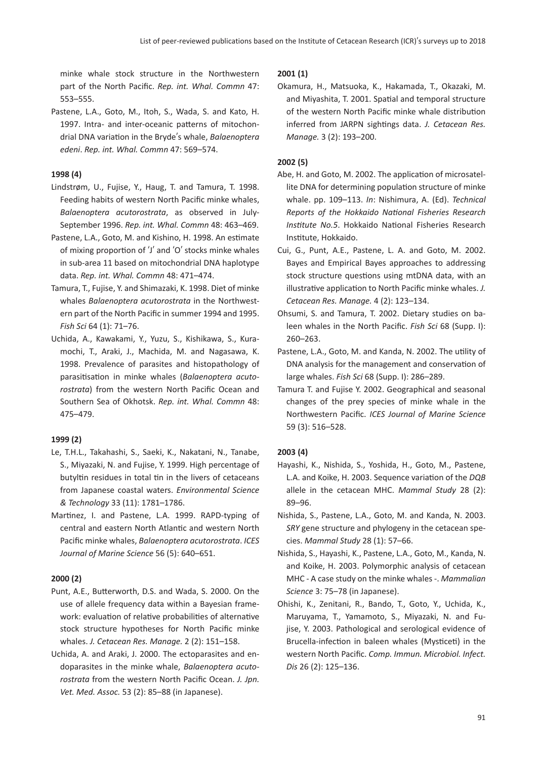minke whale stock structure in the Northwestern part of the North Pacific. *Rep. int. Whal. Commn* 47: 553–555.

Pastene, L.A., Goto, M., Itoh, S., Wada, S. and Kato, H. 1997. Intra- and inter-oceanic patterns of mitochondrial DNA variation in the Bryde's whale, *Balaenoptera edeni*. *Rep. int. Whal. Commn* 47: 569–574.

# **1998 (4)**

- Lindstrøm, U., Fujise, Y., Haug, T. and Tamura, T. 1998. Feeding habits of western North Pacific minke whales, *Balaenoptera acutorostrata*, as observed in July-September 1996. *Rep. int. Whal. Commn* 48: 463–469.
- Pastene, L.A., Goto, M. and Kishino, H. 1998. An estimate of mixing proportion of ʻJ' and ʻO' stocks minke whales in sub-area 11 based on mitochondrial DNA haplotype data. *Rep. int. Whal. Commn* 48: 471–474.
- Tamura, T., Fujise, Y. and Shimazaki, K. 1998. Diet of minke whales *Balaenoptera acutorostrata* in the Northwestern part of the North Pacific in summer 1994 and 1995. *Fish Sci* 64 (1): 71–76.
- Uchida, A., Kawakami, Y., Yuzu, S., Kishikawa, S., Kuramochi, T., Araki, J., Machida, M. and Nagasawa, K. 1998. Prevalence of parasites and histopathology of parasitisation in minke whales (*Balaenoptera acutorostrata*) from the western North Pacific Ocean and Southern Sea of Okhotsk. *Rep. int. Whal. Commn* 48: 475–479.

# **1999 (2)**

- Le, T.H.L., Takahashi, S., Saeki, K., Nakatani, N., Tanabe, S., Miyazaki, N. and Fujise, Y. 1999. High percentage of butyltin residues in total tin in the livers of cetaceans from Japanese coastal waters. *Environmental Science & Technology* 33 (11): 1781–1786.
- Martinez, I. and Pastene, L.A. 1999. RAPD-typing of central and eastern North Atlantic and western North Pacific minke whales, *Balaenoptera acutorostrata*. *ICES Journal of Marine Science* 56 (5): 640–651.

# **2000 (2)**

- Punt, A.E., Butterworth, D.S. and Wada, S. 2000. On the use of allele frequency data within a Bayesian framework: evaluation of relative probabilities of alternative stock structure hypotheses for North Pacific minke whales. *J. Cetacean Res. Manage.* 2 (2): 151–158.
- Uchida, A. and Araki, J. 2000. The ectoparasites and endoparasites in the minke whale, *Balaenoptera acutorostrata* from the western North Pacific Ocean. *J. Jpn. Vet. Med. Assoc.* 53 (2): 85–88 (in Japanese).

## **2001 (1)**

Okamura, H., Matsuoka, K., Hakamada, T., Okazaki, M. and Miyashita, T. 2001. Spatial and temporal structure of the western North Pacific minke whale distribution inferred from JARPN sightings data. *J. Cetacean Res. Manage.* 3 (2): 193–200.

# **2002 (5)**

- Abe, H. and Goto, M. 2002. The application of microsatellite DNA for determining population structure of minke whale. pp. 109–113. *In*: Nishimura, A. (Ed). *Technical Reports of the Hokkaido National Fisheries Research Institute No.5*. Hokkaido National Fisheries Research Institute, Hokkaido.
- Cui, G., Punt, A.E., Pastene, L. A. and Goto, M. 2002. Bayes and Empirical Bayes approaches to addressing stock structure questions using mtDNA data, with an illustrative application to North Pacific minke whales. *J. Cetacean Res. Manage.* 4 (2): 123–134.
- Ohsumi, S. and Tamura, T. 2002. Dietary studies on baleen whales in the North Pacific. *Fish Sci* 68 (Supp. I): 260–263.
- Pastene, L.A., Goto, M. and Kanda, N. 2002. The utility of DNA analysis for the management and conservation of large whales. *Fish Sci* 68 (Supp. I): 286–289.
- Tamura T. and Fujise Y. 2002. Geographical and seasonal changes of the prey species of minke whale in the Northwestern Pacific. *ICES Journal of Marine Science* 59 (3): 516–528.

# **2003 (4)**

- Hayashi, K., Nishida, S., Yoshida, H., Goto, M., Pastene, L.A. and Koike, H. 2003. Sequence variation of the *DQB* allele in the cetacean MHC. *Mammal Study* 28 (2): 89–96.
- Nishida, S., Pastene, L.A., Goto, M. and Kanda, N. 2003. *SRY* gene structure and phylogeny in the cetacean species. *Mammal Study* 28 (1): 57–66.
- Nishida, S., Hayashi, K., Pastene, L.A., Goto, M., Kanda, N. and Koike, H. 2003. Polymorphic analysis of cetacean MHC - A case study on the minke whales -. *Mammalian Science* 3: 75–78 (in Japanese).
- Ohishi, K., Zenitani, R., Bando, T., Goto, Y., Uchida, K., Maruyama, T., Yamamoto, S., Miyazaki, N. and Fujise, Y. 2003. Pathological and serological evidence of Brucella-infection in baleen whales (Mysticeti) in the western North Pacific. *Comp. Immun. Microbiol. Infect. Dis* 26 (2): 125–136.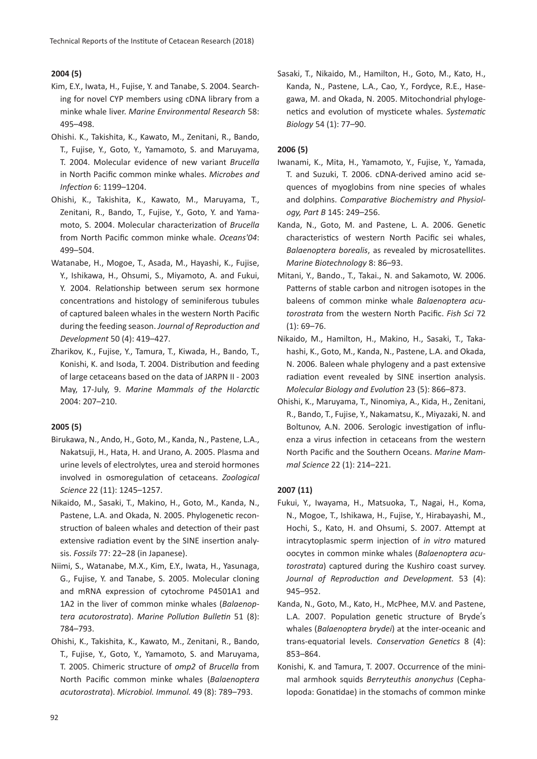# **2004 (5)**

- Kim, E.Y., Iwata, H., Fujise, Y. and Tanabe, S. 2004. Searching for novel CYP members using cDNA library from a minke whale liver. *Marine Environmental Research* 58: 495–498.
- Ohishi. K., Takishita, K., Kawato, M., Zenitani, R., Bando, T., Fujise, Y., Goto, Y., Yamamoto, S. and Maruyama, T. 2004. Molecular evidence of new variant *Brucella* in North Pacific common minke whales. *Microbes and Infection* 6: 1199–1204.
- Ohishi, K., Takishita, K., Kawato, M., Maruyama, T., Zenitani, R., Bando, T., Fujise, Y., Goto, Y. and Yamamoto, S. 2004. Molecular characterization of *Brucella* from North Pacific common minke whale. *Oceans'04*: 499–504.
- Watanabe, H., Mogoe, T., Asada, M., Hayashi, K., Fujise, Y., Ishikawa, H., Ohsumi, S., Miyamoto, A. and Fukui, Y. 2004. Relationship between serum sex hormone concentrations and histology of seminiferous tubules of captured baleen whales in the western North Pacific during the feeding season. *Journal of Reproduction and Development* 50 (4): 419–427.
- Zharikov, K., Fujise, Y., Tamura, T., Kiwada, H., Bando, T., Konishi, K. and Isoda, T. 2004. Distribution and feeding of large cetaceans based on the data of JARPN II - 2003 May, 17-July, 9. *Marine Mammals of the Holarctic* 2004: 207–210.

#### **2005 (5)**

- Birukawa, N., Ando, H., Goto, M., Kanda, N., Pastene, L.A., Nakatsuji, H., Hata, H. and Urano, A. 2005. Plasma and urine levels of electrolytes, urea and steroid hormones involved in osmoregulation of cetaceans. *Zoological Science* 22 (11): 1245–1257.
- Nikaido, M., Sasaki, T., Makino, H., Goto, M., Kanda, N., Pastene, L.A. and Okada, N. 2005. Phylogenetic reconstruction of baleen whales and detection of their past extensive radiation event by the SINE insertion analysis. *Fossils* 77: 22–28 (in Japanese).
- Niimi, S., Watanabe, M.X., Kim, E.Y., Iwata, H., Yasunaga, G., Fujise, Y. and Tanabe, S. 2005. Molecular cloning and mRNA expression of cytochrome P4501A1 and 1A2 in the liver of common minke whales (*Balaenoptera acutorostrata*). *Marine Pollution Bulletin* 51 (8): 784–793.
- Ohishi, K., Takishita, K., Kawato, M., Zenitani, R., Bando, T., Fujise, Y., Goto, Y., Yamamoto, S. and Maruyama, T. 2005. Chimeric structure of *omp2* of *Brucella* from North Pacific common minke whales (*Balaenoptera acutorostrata*). *Microbiol. Immunol.* 49 (8): 789–793.

Sasaki, T., Nikaido, M., Hamilton, H., Goto, M., Kato, H., Kanda, N., Pastene, L.A., Cao, Y., Fordyce, R.E., Hasegawa, M. and Okada, N. 2005. Mitochondrial phylogenetics and evolution of mysticete whales. *Systematic Biology* 54 (1): 77–90.

#### **2006 (5)**

- Iwanami, K., Mita, H., Yamamoto, Y., Fujise, Y., Yamada, T. and Suzuki, T. 2006. cDNA-derived amino acid sequences of myoglobins from nine species of whales and dolphins. *Comparative Biochemistry and Physiology, Part B* 145: 249–256.
- Kanda, N., Goto, M. and Pastene, L. A. 2006. Genetic characteristics of western North Pacific sei whales, *Balaenoptera borealis*, as revealed by microsatellites. *Marine Biotechnology* 8: 86–93.
- Mitani, Y., Bando., T., Takai., N. and Sakamoto, W. 2006. Patterns of stable carbon and nitrogen isotopes in the baleens of common minke whale *Balaenoptera acutorostrata* from the western North Pacific. *Fish Sci* 72  $(1): 69 - 76.$
- Nikaido, M., Hamilton, H., Makino, H., Sasaki, T., Takahashi, K., Goto, M., Kanda, N., Pastene, L.A. and Okada, N. 2006. Baleen whale phylogeny and a past extensive radiation event revealed by SINE insertion analysis. *Molecular Biology and Evolution* 23 (5): 866–873.
- Ohishi, K., Maruyama, T., Ninomiya, A., Kida, H., Zenitani, R., Bando, T., Fujise, Y., Nakamatsu, K., Miyazaki, N. and Boltunov, A.N. 2006. Serologic investigation of influenza a virus infection in cetaceans from the western North Pacific and the Southern Oceans. *Marine Mammal Science* 22 (1): 214–221.

#### **2007 (11)**

- Fukui, Y., Iwayama, H., Matsuoka, T., Nagai, H., Koma, N., Mogoe, T., Ishikawa, H., Fujise, Y., Hirabayashi, M., Hochi, S., Kato, H. and Ohsumi, S. 2007. Attempt at intracytoplasmic sperm injection of *in vitro* matured oocytes in common minke whales (*Balaenoptera acutorostrata*) captured during the Kushiro coast survey. *Journal of Reproduction and Development.* 53 (4): 945–952.
- Kanda, N., Goto, M., Kato, H., McPhee, M.V. and Pastene, L.A. 2007. Population genetic structure of Bryde's whales (*Balaenoptera brydei*) at the inter-oceanic and trans-equatorial levels. *Conservation Genetics* 8 (4): 853–864.
- Konishi, K. and Tamura, T. 2007. Occurrence of the minimal armhook squids *Berryteuthis anonychus* (Cephalopoda: Gonatidae) in the stomachs of common minke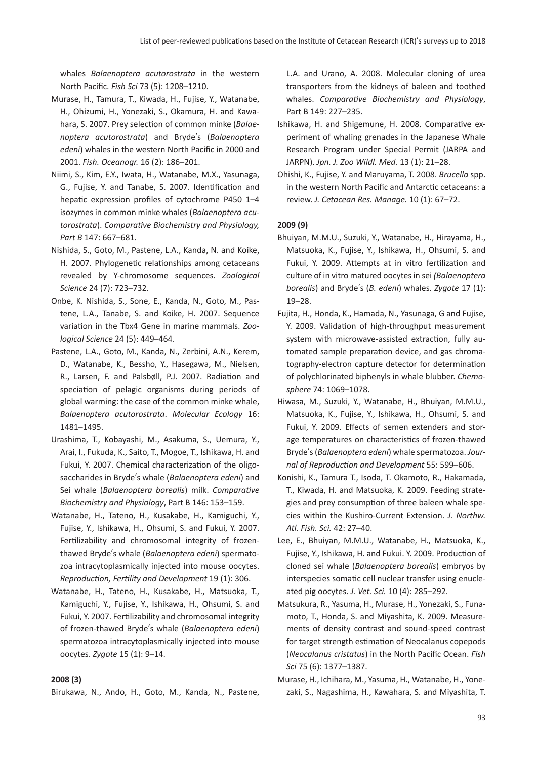whales *Balaenoptera acutorostrata* in the western North Pacific. *Fish Sci* 73 (5): 1208–1210.

- Murase, H., Tamura, T., Kiwada, H., Fujise, Y., Watanabe, H., Ohizumi, H., Yonezaki, S., Okamura, H. and Kawahara, S. 2007. Prey selection of common minke (*Balaenoptera acutorostrata*) and Bryde's (*Balaenoptera edeni*) whales in the western North Pacific in 2000 and 2001. *Fish. Oceanogr.* 16 (2): 186–201.
- Niimi, S., Kim, E.Y., Iwata, H., Watanabe, M.X., Yasunaga, G., Fujise, Y. and Tanabe, S. 2007. Identification and hepatic expression profiles of cytochrome P450 1–4 isozymes in common minke whales (*Balaenoptera acutorostrata*). *Comparative Biochemistry and Physiology, Part B* 147: 667–681.
- Nishida, S., Goto, M., Pastene, L.A., Kanda, N. and Koike, H. 2007. Phylogenetic relationships among cetaceans revealed by Y-chromosome sequences. *Zoological Science* 24 (7): 723–732.
- Onbe, K. Nishida, S., Sone, E., Kanda, N., Goto, M., Pastene, L.A., Tanabe, S. and Koike, H. 2007. Sequence variation in the Tbx4 Gene in marine mammals. *Zoological Science* 24 (5): 449–464.
- Pastene, L.A., Goto, M., Kanda, N., Zerbini, A.N., Kerem, D., Watanabe, K., Bessho, Y., Hasegawa, M., Nielsen, R., Larsen, F. and Palsbøll, P.J. 2007. Radiation and speciation of pelagic organisms during periods of global warming: the case of the common minke whale, *Balaenoptera acutorostrata*. *Molecular Ecology* 16: 1481–1495.
- Urashima, T., Kobayashi, M., Asakuma, S., Uemura, Y., Arai, I., Fukuda, K., Saito, T., Mogoe, T., Ishikawa, H. and Fukui, Y. 2007. Chemical characterization of the oligosaccharides in Bryde's whale (*Balaenoptera edeni*) and Sei whale (*Balaenoptera borealis*) milk. *Comparative Biochemistry and Physiology*, Part B 146: 153–159.
- Watanabe, H., Tateno, H., Kusakabe, H., Kamiguchi, Y., Fujise, Y., Ishikawa, H., Ohsumi, S. and Fukui, Y. 2007. Fertilizability and chromosomal integrity of frozenthawed Bryde's whale (*Balaenoptera edeni*) spermatozoa intracytoplasmically injected into mouse oocytes. *Reproduction, Fertility and Development* 19 (1): 306.
- Watanabe, H., Tateno, H., Kusakabe, H., Matsuoka, T., Kamiguchi, Y., Fujise, Y., Ishikawa, H., Ohsumi, S. and Fukui, Y. 2007. Fertilizability and chromosomal integrity of frozen-thawed Bryde's whale (*Balaenoptera edeni*) spermatozoa intracytoplasmically injected into mouse oocytes. *Zygote* 15 (1): 9–14.

#### **2008 (3)**

Birukawa, N., Ando, H., Goto, M., Kanda, N., Pastene,

L.A. and Urano, A. 2008. Molecular cloning of urea transporters from the kidneys of baleen and toothed whales. *Comparative Biochemistry and Physiology*, Part B 149: 227–235.

- Ishikawa, H. and Shigemune, H. 2008. Comparative experiment of whaling grenades in the Japanese Whale Research Program under Special Permit (JARPA and JARPN). *Jpn. J. Zoo Wildl. Med.* 13 (1): 21–28.
- Ohishi, K., Fujise, Y. and Maruyama, T. 2008. *Brucella* spp. in the western North Pacific and Antarctic cetaceans: a review. *J. Cetacean Res. Manage.* 10 (1): 67–72.

#### **2009 (9)**

- Bhuiyan, M.M.U., Suzuki, Y., Watanabe, H., Hirayama, H., Matsuoka, K., Fujise, Y., Ishikawa, H., Ohsumi, S. and Fukui, Y. 2009. Attempts at in vitro fertilization and culture of in vitro matured oocytes in sei *(Balaenoptera borealis*) and Bryde's (*B. edeni*) whales. *Zygote* 17 (1): 19–28.
- Fujita, H., Honda, K., Hamada, N., Yasunaga, G and Fujise, Y. 2009. Validation of high-throughput measurement system with microwave-assisted extraction, fully automated sample preparation device, and gas chromatography-electron capture detector for determination of polychlorinated biphenyls in whale blubber. *Chemosphere* 74: 1069–1078.
- Hiwasa, M., Suzuki, Y., Watanabe, H., Bhuiyan, M.M.U., Matsuoka, K., Fujise, Y., Ishikawa, H., Ohsumi, S. and Fukui, Y. 2009. Effects of semen extenders and storage temperatures on characteristics of frozen-thawed Bryde's (*Balaenoptera edeni*) whale spermatozoa. *Journal of Reproduction and Development* 55: 599–606.
- Konishi, K., Tamura T., Isoda, T. Okamoto, R., Hakamada, T., Kiwada, H. and Matsuoka, K. 2009. Feeding strategies and prey consumption of three baleen whale species within the Kushiro-Current Extension. *J. Northw. Atl. Fish. Sci.* 42: 27–40.
- Lee, E., Bhuiyan, M.M.U., Watanabe, H., Matsuoka, K., Fujise, Y., Ishikawa, H. and Fukui. Y. 2009. Production of cloned sei whale (*Balaenoptera borealis*) embryos by interspecies somatic cell nuclear transfer using enucleated pig oocytes. *J. Vet. Sci.* 10 (4): 285–292.
- Matsukura, R., Yasuma, H., Murase, H., Yonezaki, S., Funamoto, T., Honda, S. and Miyashita, K. 2009. Measurements of density contrast and sound-speed contrast for target strength estimation of Neocalanus copepods (*Neocalanus cristatus*) in the North Pacific Ocean. *Fish Sci* 75 (6): 1377–1387.
- Murase, H., Ichihara, M., Yasuma, H., Watanabe, H., Yonezaki, S., Nagashima, H., Kawahara, S. and Miyashita, T.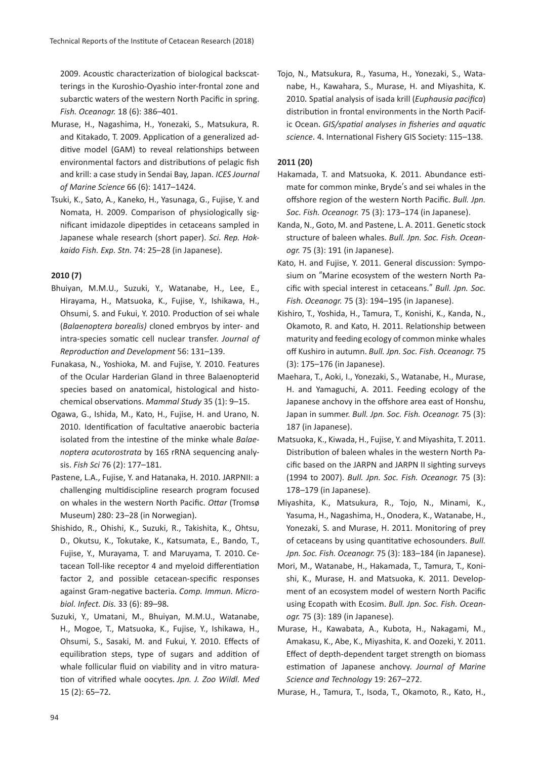2009. Acoustic characterization of biological backscatterings in the Kuroshio-Oyashio inter-frontal zone and subarctic waters of the western North Pacific in spring. *Fish. Oceanogr.* 18 (6): 386–401.

- Murase, H., Nagashima, H., Yonezaki, S., Matsukura, R. and Kitakado, T. 2009. Application of a generalized additive model (GAM) to reveal relationships between environmental factors and distributions of pelagic fish and krill: a case study in Sendai Bay, Japan. *ICES Journal of Marine Science* 66 (6): 1417–1424.
- Tsuki, K., Sato, A., Kaneko, H., Yasunaga, G., Fujise, Y. and Nomata, H. 2009. Comparison of physiologically significant imidazole dipeptides in cetaceans sampled in Japanese whale research (short paper). *Sci. Rep. Hokkaido Fish. Exp. Stn.* 74: 25–28 (in Japanese).

## **2010 (7)**

- Bhuiyan, M.M.U., Suzuki, Y., Watanabe, H., Lee, E., Hirayama, H., Matsuoka, K., Fujise, Y., Ishikawa, H., Ohsumi, S. and Fukui, Y. 2010. Production of sei whale (*Balaenoptera borealis)* cloned embryos by inter- and intra-species somatic cell nuclear transfer. *Journal of Reproduction and Development* 56: 131–139.
- Funakasa, N., Yoshioka, M. and Fujise, Y. 2010. Features of the Ocular Harderian Gland in three Balaenopterid species based on anatomical, histological and histochemical observations. *Mammal Study* 35 (1): 9–15.
- Ogawa, G., Ishida, M., Kato, H., Fujise, H. and Urano, N. 2010. Identification of facultative anaerobic bacteria isolated from the intestine of the minke whale *Balaenoptera acutorostrata* by 16S rRNA sequencing analysis. *Fish Sci* 76 (2): 177–181.
- Pastene, L.A., Fujise, Y. and Hatanaka, H. 2010. JARPNII: a challenging multidiscipline research program focused on whales in the western North Pacific. *Ottar* (Tromsø Museum) 280: 23–28 (in Norwegian).
- Shishido, R., Ohishi, K., Suzuki, R., Takishita, K., Ohtsu, D., Okutsu, K., Tokutake, K., Katsumata, E., Bando, T., Fujise, Y., Murayama, T. and Maruyama, T. 2010.Cetacean Toll-like receptor 4 and myeloid differentiation factor 2, and possible cetacean-specific responses against Gram-negative bacteria.*Comp. Immun. Microbiol. Infect. Dis.* 33 (6): 89–98.
- Suzuki, Y., Umatani, M., Bhuiyan, M.M.U., Watanabe, H., Mogoe, T., Matsuoka, K., Fujise, Y., Ishikawa, H., Ohsumi, S., Sasaki, M. and Fukui, Y. 2010. Effects of equilibration steps, type of sugars and addition of whale follicular fluid on viability and in vitro maturation of vitrified whale oocytes.*Jpn. J. Zoo Wildl. Med* 15 (2): 65–72.

Tojo, N., Matsukura, R., Yasuma, H., Yonezaki, S., Watanabe, H., Kawahara, S., Murase, H. and Miyashita, K. 2010.Spatial analysis of isada krill (*Euphausia pacifica*) distribution in frontal environments in the North Pacific Ocean.*GIS/spatial analyses in fisheries and aquatic science*.4.International Fishery GIS Society: 115–138.

## **2011 (20)**

- Hakamada, T. and Matsuoka, K. 2011. Abundance estimate for common minke, Bryde's and sei whales in the offshore region of the western North Pacific. *Bull. Jpn. Soc. Fish. Oceanogr.* 75 (3): 173–174 (in Japanese).
- Kanda, N., Goto, M. and Pastene, L. A. 2011. Genetic stock structure of baleen whales. *Bull. Jpn. Soc. Fish. Oceanogr.* 75 (3): 191 (in Japanese).
- Kato, H. and Fujise, Y. 2011. General discussion: Symposium on "Marine ecosystem of the western North Pacific with special interest in cetaceans." *Bull. Jpn. Soc. Fish. Oceanogr.* 75 (3): 194–195 (in Japanese).
- Kishiro, T., Yoshida, H., Tamura, T., Konishi, K., Kanda, N., Okamoto, R. and Kato, H. 2011. Relationship between maturity and feeding ecology of common minke whales off Kushiro in autumn. *Bull. Jpn. Soc. Fish. Oceanogr.* 75 (3): 175–176 (in Japanese).
- Maehara, T., Aoki, I., Yonezaki, S., Watanabe, H., Murase, H. and Yamaguchi, A. 2011. Feeding ecology of the Japanese anchovy in the offshore area east of Honshu, Japan in summer. *Bull. Jpn. Soc. Fish. Oceanogr.* 75 (3): 187 (in Japanese).
- Matsuoka, K., Kiwada, H., Fujise, Y. and Miyashita, T. 2011. Distribution of baleen whales in the western North Pacific based on the JARPN and JARPN II sighting surveys (1994 to 2007). *Bull. Jpn. Soc. Fish. Oceanogr.* 75 (3): 178–179 (in Japanese).
- Miyashita, K., Matsukura, R., Tojo, N., Minami, K., Yasuma, H., Nagashima, H., Onodera, K., Watanabe, H., Yonezaki, S. and Murase, H. 2011. Monitoring of prey of cetaceans by using quantitative echosounders. *Bull. Jpn. Soc. Fish. Oceanogr.* 75 (3): 183–184 (in Japanese).
- Mori, M., Watanabe, H., Hakamada, T., Tamura, T., Konishi, K., Murase, H. and Matsuoka, K. 2011. Development of an ecosystem model of western North Pacific using Ecopath with Ecosim. *Bull. Jpn. Soc. Fish. Oceanogr.* 75 (3): 189 (in Japanese).
- Murase, H., Kawabata, A., Kubota, H., Nakagami, M., Amakasu, K., Abe, K., Miyashita, K. and Oozeki, Y. 2011. Effect of depth-dependent target strength on biomass estimation of Japanese anchovy. *Journal of Marine Science and Technology* 19: 267–272.

Murase, H., Tamura, T., Isoda, T., Okamoto, R., Kato, H.,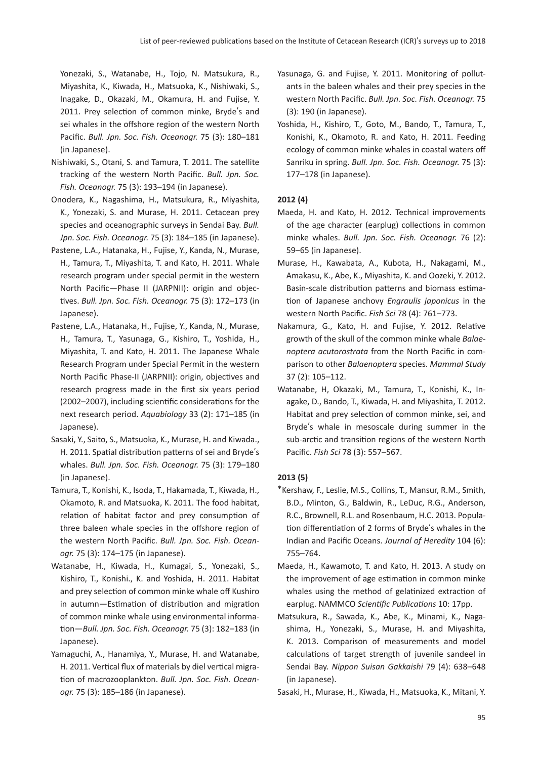Yonezaki, S., Watanabe, H., Tojo, N. Matsukura, R., Miyashita, K., Kiwada, H., Matsuoka, K., Nishiwaki, S., Inagake, D., Okazaki, M., Okamura, H. and Fujise, Y. 2011. Prey selection of common minke, Bryde's and sei whales in the offshore region of the western North Pacific. *Bull. Jpn. Soc. Fish. Oceanogr.* 75 (3): 180–181 (in Japanese).

- Nishiwaki, S., Otani, S. and Tamura, T. 2011. The satellite tracking of the western North Pacific. *Bull. Jpn. Soc. Fish. Oceanogr.* 75 (3): 193–194 (in Japanese).
- Onodera, K., Nagashima, H., Matsukura, R., Miyashita, K., Yonezaki, S. and Murase, H. 2011. Cetacean prey species and oceanographic surveys in Sendai Bay. *Bull. Jpn. Soc. Fish. Oceanogr.* 75 (3): 184–185 (in Japanese).
- Pastene, L.A., Hatanaka, H., Fujise, Y., Kanda, N., Murase, H., Tamura, T., Miyashita, T. and Kato, H. 2011. Whale research program under special permit in the western North Pacific—Phase II (JARPNII): origin and objectives. *Bull. Jpn. Soc. Fish. Oceanogr.* 75 (3): 172–173 (in Japanese).
- Pastene, L.A., Hatanaka, H., Fujise, Y., Kanda, N., Murase, H., Tamura, T., Yasunaga, G., Kishiro, T., Yoshida, H., Miyashita, T. and Kato, H. 2011. The Japanese Whale Research Program under Special Permit in the western North Pacific Phase-II (JARPNII): origin, objectives and research progress made in the first six years period (2002–2007), including scientific considerations for the next research period. *Aquabiology* 33 (2): 171–185 (in Japanese).
- Sasaki, Y., Saito, S., Matsuoka, K., Murase, H. and Kiwada., H. 2011. Spatial distribution patterns of sei and Bryde's whales. *Bull. Jpn. Soc. Fish. Oceanogr.* 75 (3): 179–180 (in Japanese).
- Tamura, T., Konishi, K., Isoda, T., Hakamada, T., Kiwada, H., Okamoto, R. and Matsuoka, K. 2011. The food habitat, relation of habitat factor and prey consumption of three baleen whale species in the offshore region of the western North Pacific. *Bull. Jpn. Soc. Fish. Oceanogr.* 75 (3): 174–175 (in Japanese).
- Watanabe, H., Kiwada, H., Kumagai, S., Yonezaki, S., Kishiro, T., Konishi., K. and Yoshida, H. 2011. Habitat and prey selection of common minke whale off Kushiro in autumn—Estimation of distribution and migration of common minke whale using environmental information—*Bull. Jpn. Soc. Fish. Oceanogr.* 75 (3): 182–183 (in Japanese).
- Yamaguchi, A., Hanamiya, Y., Murase, H. and Watanabe, H. 2011. Vertical flux of materials by diel vertical migration of macrozooplankton. *Bull. Jpn. Soc. Fish. Oceanogr.* 75 (3): 185–186 (in Japanese).
- Yasunaga, G. and Fujise, Y. 2011. Monitoring of pollutants in the baleen whales and their prey species in the western North Pacific. *Bull. Jpn. Soc. Fish. Oceanogr.* 75 (3): 190 (in Japanese).
- Yoshida, H., Kishiro, T., Goto, M., Bando, T., Tamura, T., Konishi, K., Okamoto, R. and Kato, H. 2011. Feeding ecology of common minke whales in coastal waters off Sanriku in spring. *Bull. Jpn. Soc. Fish. Oceanogr.* 75 (3): 177–178 (in Japanese).

# **2012 (4)**

- Maeda, H. and Kato, H. 2012. Technical improvements of the age character (earplug) collections in common minke whales. *Bull. Jpn. Soc. Fish. Oceanogr.* 76 (2): 59–65 (in Japanese).
- Murase, H., Kawabata, A., Kubota, H., Nakagami, M., Amakasu, K., Abe, K., Miyashita, K. and Oozeki, Y. 2012. Basin-scale distribution patterns and biomass estimation of Japanese anchovy *Engraulis japonicus* in the western North Pacific. *Fish Sci* 78 (4): 761–773.
- Nakamura, G., Kato, H. and Fujise, Y. 2012. Relative growth of the skull of the common minke whale *Balaenoptera acutorostrata* from the North Pacific in comparison to other *Balaenoptera* species. *Mammal Study* 37 (2): 105–112.
- Watanabe, H, Okazaki, M., Tamura, T., Konishi, K., Inagake, D., Bando, T., Kiwada, H. and Miyashita, T. 2012. Habitat and prey selection of common minke, sei, and Bryde's whale in mesoscale during summer in the sub-arctic and transition regions of the western North Pacific. *Fish Sci* 78 (3): 557–567.

# **2013 (5)**

- \*Kershaw, F., Leslie, M.S., Collins, T., Mansur, R.M., Smith, B.D., Minton, G., Baldwin, R., LeDuc, R.G., Anderson, R.C., Brownell, R.L. and Rosenbaum, H.C. 2013. Population differentiation of 2 forms of Bryde's whales in the Indian and Pacific Oceans. *Journal of Heredity* 104 (6): 755–764.
- Maeda, H., Kawamoto, T. and Kato, H. 2013. A study on the improvement of age estimation in common minke whales using the method of gelatinized extraction of earplug. NAMMCO *Scientific Publications* 10: 17pp.
- Matsukura, R., Sawada, K., Abe, K., Minami, K., Nagashima, H., Yonezaki, S., Murase, H. and Miyashita, K. 2013. Comparison of measurements and model calculations of target strength of juvenile sandeel in Sendai Bay. *Nippon Suisan Gakkaishi* 79 (4): 638–648 (in Japanese).
- Sasaki, H., Murase, H., Kiwada, H., Matsuoka, K., Mitani, Y.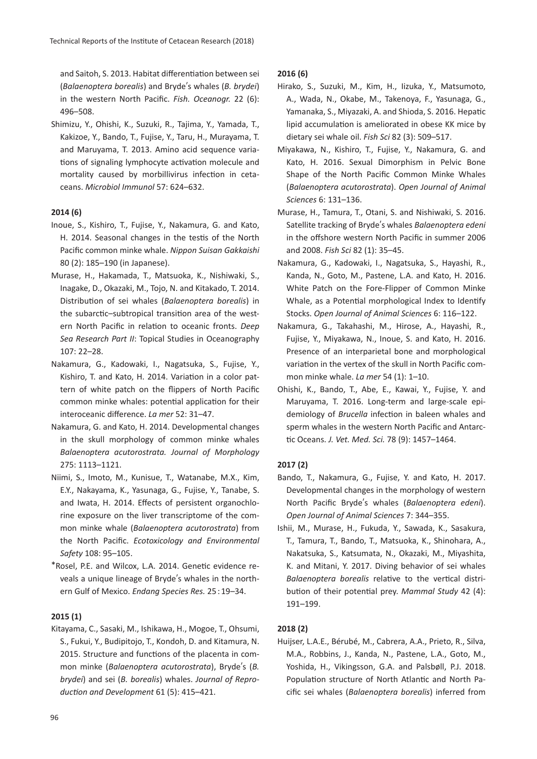and Saitoh, S. 2013. Habitat differentiation between sei (*Balaenoptera borealis*) and Bryde's whales (*B. brydei*) in the western North Pacific. *Fish. Oceanogr.* 22 (6): 496–508.

Shimizu, Y., Ohishi, K., Suzuki, R., Tajima, Y., Yamada, T., Kakizoe, Y., Bando, T., Fujise, Y., Taru, H., Murayama, T. and Maruyama, T. 2013. Amino acid sequence variations of signaling lymphocyte activation molecule and mortality caused by morbillivirus infection in cetaceans. *Microbiol Immunol* 57: 624–632.

# **2014 (6)**

- Inoue, S., Kishiro, T., Fujise, Y., Nakamura, G. and Kato, H. 2014. Seasonal changes in the testis of the North Pacific common minke whale. *Nippon Suisan Gakkaishi* 80 (2): 185–190 (in Japanese).
- Murase, H., Hakamada, T., Matsuoka, K., Nishiwaki, S., Inagake, D., Okazaki, M., Tojo, N. and Kitakado, T. 2014. Distribution of sei whales (*Balaenoptera borealis*) in the subarctic–subtropical transition area of the western North Pacific in relation to oceanic fronts. *Deep Sea Research Part II*: Topical Studies in Oceanography 107: 22–28.
- Nakamura, G., Kadowaki, I., Nagatsuka, S., Fujise, Y., Kishiro, T. and Kato, H. 2014. Variation in a color pattern of white patch on the flippers of North Pacific common minke whales: potential application for their interoceanic difference. *La mer* 52: 31–47.
- Nakamura, G. and Kato, H. 2014. Developmental changes in the skull morphology of common minke whales *Balaenoptera acutorostrata. Journal of Morphology* 275: 1113–1121.
- Niimi, S., Imoto, M., Kunisue, T., Watanabe, M.X., Kim, E.Y., Nakayama, K., Yasunaga, G., Fujise, Y., Tanabe, S. and Iwata, H. 2014. Effects of persistent organochlorine exposure on the liver transcriptome of the common minke whale (*Balaenoptera acutorostrata*) from the North Pacific. *Ecotoxicology and Environmental Safety* 108: 95–105.
- \*Rosel, P.E. and Wilcox, L.A. 2014. Genetic evidence reveals a unique lineage of Bryde's whales in the northern Gulf of Mexico. *Endang Species Res.* 25 : 19–34.

#### **2015 (1)**

Kitayama, C., Sasaki, M., Ishikawa, H., Mogoe, T., Ohsumi, S., Fukui, Y., Budipitojo, T., Kondoh, D. and Kitamura, N. 2015. Structure and functions of the placenta in common minke (*Balaenoptera acutorostrata*), Bryde's (*B. brydei*) and sei (*B. borealis*) whales. *Journal of Reproduction and Development* 61 (5): 415–421.

## **2016 (6)**

- Hirako, S., Suzuki, M., Kim, H., Iizuka, Y., Matsumoto, A., Wada, N., Okabe, M., Takenoya, F., Yasunaga, G., Yamanaka, S., Miyazaki, A. and Shioda, S. 2016. Hepatic lipid accumulation is ameliorated in obese KK mice by dietary sei whale oil. *Fish Sci* 82 (3): 509–517.
- Miyakawa, N., Kishiro, T., Fujise, Y., Nakamura, G. and Kato, H. 2016. Sexual Dimorphism in Pelvic Bone Shape of the North Pacific Common Minke Whales (*Balaenoptera acutorostrata*). *Open Journal of Animal Sciences* 6: 131–136.
- Murase, H., Tamura, T., Otani, S. and Nishiwaki, S. 2016. Satellite tracking of Bryde's whales *Balaenoptera edeni* in the offshore western North Pacific in summer 2006 and 2008. *Fish Sci* 82 (1): 35–45.
- Nakamura, G., Kadowaki, I., Nagatsuka, S., Hayashi, R., Kanda, N., Goto, M., Pastene, L.A. and Kato, H. 2016. White Patch on the Fore-Flipper of Common Minke Whale, as a Potential morphological Index to Identify Stocks. *Open Journal of Animal Sciences* 6: 116–122.
- Nakamura, G., Takahashi, M., Hirose, A., Hayashi, R., Fujise, Y., Miyakawa, N., Inoue, S. and Kato, H. 2016. Presence of an interparietal bone and morphological variation in the vertex of the skull in North Pacific common minke whale. *La mer* 54 (1): 1–10.
- Ohishi, K., Bando, T., Abe, E., Kawai, Y., Fujise, Y. and Maruyama, T. 2016. Long-term and large-scale epidemiology of *Brucella* infection in baleen whales and sperm whales in the western North Pacific and Antarctic Oceans. *J. Vet. Med. Sci.* 78 (9): 1457–1464.

#### **2017 (2)**

- Bando, T., Nakamura, G., Fujise, Y. and Kato, H. 2017. Developmental changes in the morphology of western North Pacific Bryde's whales (*Balaenoptera edeni*). *Open Journal of Animal Sciences* 7: 344–355.
- Ishii, M., Murase, H., Fukuda, Y., Sawada, K., Sasakura, T., Tamura, T., Bando, T., Matsuoka, K., Shinohara, A., Nakatsuka, S., Katsumata, N., Okazaki, M., Miyashita, K. and Mitani, Y. 2017. Diving behavior of sei whales *Balaenoptera borealis* relative to the vertical distribution of their potential prey. *Mammal Study* 42 (4): 191–199.

#### **2018 (2)**

Huijser, L.A.E., Bérubé, M., Cabrera, A.A., Prieto, R., Silva, M.A., Robbins, J., Kanda, N., Pastene, L.A., Goto, M., Yoshida, H., Vikingsson, G.A. and Palsbøll, P.J. 2018. Population structure of North Atlantic and North Pacific sei whales (*Balaenoptera borealis*) inferred from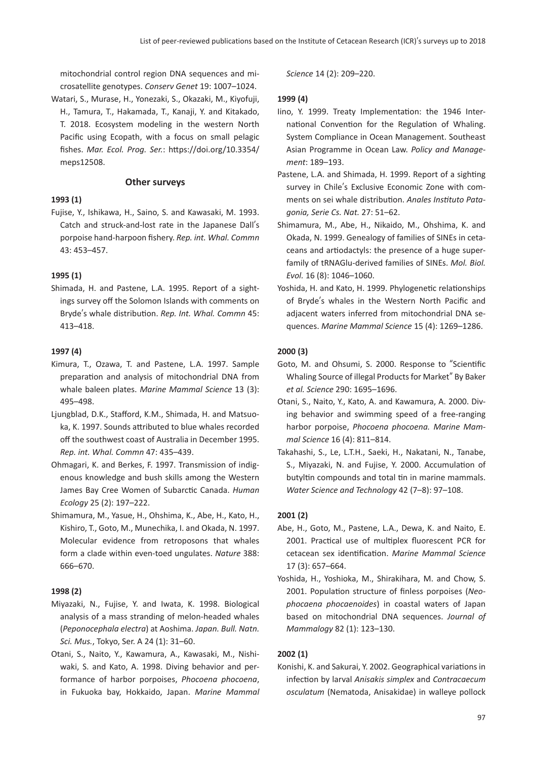mitochondrial control region DNA sequences and microsatellite genotypes. *Conserv Genet* 19: 1007–1024.

Watari, S., Murase, H., Yonezaki, S., Okazaki, M., Kiyofuji, H., Tamura, T., Hakamada, T., Kanaji, Y. and Kitakado, T. 2018. Ecosystem modeling in the western North Pacific using Ecopath, with a focus on small pelagic fishes. *Mar. Ecol. Prog. Ser.*: https://doi.org/10.3354/ meps12508.

## **Other surveys**

## **1993 (1)**

Fujise, Y., Ishikawa, H., Saino, S. and Kawasaki, M. 1993. Catch and struck-and-lost rate in the Japanese Dall's porpoise hand-harpoon fishery. *Rep. int. Whal. Commn* 43: 453–457.

## **1995 (1)**

Shimada, H. and Pastene, L.A. 1995. Report of a sightings survey off the Solomon Islands with comments on Bryde's whale distribution. *Rep. Int. Whal. Commn* 45: 413–418.

#### **1997 (4)**

- Kimura, T., Ozawa, T. and Pastene, L.A. 1997. Sample preparation and analysis of mitochondrial DNA from whale baleen plates. *Marine Mammal Science* 13 (3): 495–498.
- Ljungblad, D.K., Stafford, K.M., Shimada, H. and Matsuoka, K. 1997. Sounds attributed to blue whales recorded off the southwest coast of Australia in December 1995. *Rep. int. Whal. Commn* 47: 435–439.
- Ohmagari, K. and Berkes, F. 1997. Transmission of indigenous knowledge and bush skills among the Western James Bay Cree Women of Subarctic Canada. *Human Ecology* 25 (2): 197–222.
- Shimamura, M., Yasue, H., Ohshima, K., Abe, H., Kato, H., Kishiro, T., Goto, M., Munechika, I. and Okada, N. 1997. Molecular evidence from retroposons that whales form a clade within even-toed ungulates. *Nature* 388: 666–670.

#### **1998 (2)**

- Miyazaki, N., Fujise, Y. and Iwata, K. 1998. Biological analysis of a mass stranding of melon-headed whales (*Peponocephala electra*) at Aoshima. *Japan. Bull. Natn. Sci. Mus.*, Tokyo, Ser. A 24 (1): 31–60.
- Otani, S., Naito, Y., Kawamura, A., Kawasaki, M., Nishiwaki, S. and Kato, A. 1998. Diving behavior and performance of harbor porpoises, *Phocoena phocoena*, in Fukuoka bay, Hokkaido, Japan. *Marine Mammal*

*Science* 14 (2): 209–220.

## **1999 (4)**

- Iino, Y. 1999. Treaty Implementation: the 1946 International Convention for the Regulation of Whaling. System Compliance in Ocean Management. Southeast Asian Programme in Ocean Law. *Policy and Management*: 189–193.
- Pastene, L.A. and Shimada, H. 1999. Report of a sighting survey in Chile's Exclusive Economic Zone with comments on sei whale distribution. *Anales Instituto Patagonia, Serie Cs. Nat.* 27: 51–62.
- Shimamura, M., Abe, H., Nikaido, M., Ohshima, K. and Okada, N. 1999. Genealogy of families of SINEs in cetaceans and artiodactyls: the presence of a huge superfamily of tRNAGlu-derived families of SINEs. *Mol. Biol. Evol.* 16 (8): 1046–1060.
- Yoshida, H. and Kato, H. 1999. Phylogenetic relationships of Bryde's whales in the Western North Pacific and adjacent waters inferred from mitochondrial DNA sequences. *Marine Mammal Science* 15 (4): 1269–1286.

## **2000 (3)**

- Goto, M. and Ohsumi, S. 2000. Response to "Scientific Whaling Source of illegal Products for Market" By Baker *et al. Science* 290: 1695–1696.
- Otani, S., Naito, Y., Kato, A. and Kawamura, A. 2000. Diving behavior and swimming speed of a free-ranging harbor porpoise, *Phocoena phocoena. Marine Mammal Science* 16 (4): 811–814.
- Takahashi, S., Le, L.T.H., Saeki, H., Nakatani, N., Tanabe, S., Miyazaki, N. and Fujise, Y. 2000. Accumulation of butyltin compounds and total tin in marine mammals. *Water Science and Technology* 42 (7–8): 97–108.

# **2001 (2)**

- Abe, H., Goto, M., Pastene, L.A., Dewa, K. and Naito, E. 2001. Practical use of multiplex fluorescent PCR for cetacean sex identification. *Marine Mammal Science* 17 (3): 657–664.
- Yoshida, H., Yoshioka, M., Shirakihara, M. and Chow, S. 2001. Population structure of finless porpoises (*Neophocaena phocaenoides*) in coastal waters of Japan based on mitochondrial DNA sequences. *Journal of Mammalogy* 82 (1): 123–130.

# **2002 (1)**

Konishi, K. and Sakurai, Y. 2002. Geographical variations in infection by larval *Anisakis simplex* and *Contracaecum osculatum* (Nematoda, Anisakidae) in walleye pollock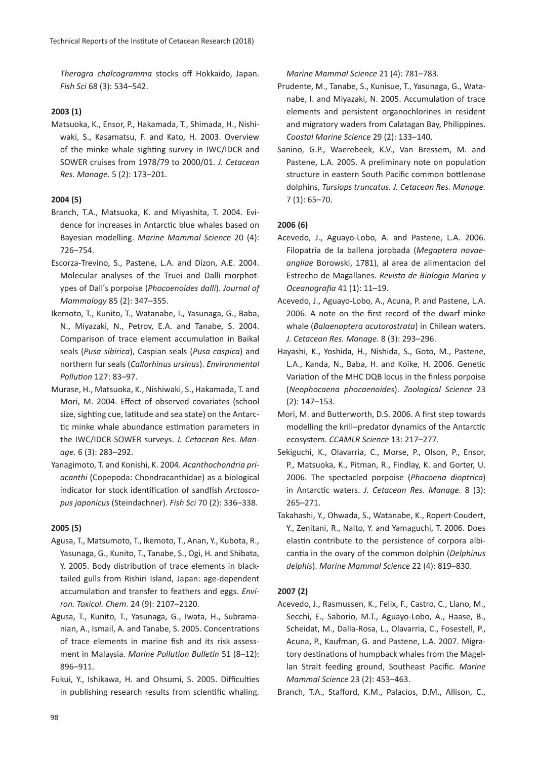*Theragra chalcogramma* stocks off Hokkaido, Japan. *Fish Sci* 68 (3): 534–542.

## **2003 (1)**

Matsuoka, K., Ensor, P., Hakamada, T., Shimada, H., Nishiwaki, S., Kasamatsu, F. and Kato, H. 2003. Overview of the minke whale sighting survey in IWC/IDCR and SOWER cruises from 1978/79 to 2000/01. *J. Cetacean Res. Manage.* 5 (2): 173–201.

## **2004 (5)**

- Branch, T.A., Matsuoka, K. and Miyashita, T. 2004. Evidence for increases in Antarctic blue whales based on Bayesian modelling. *Marine Mammal Science* 20 (4): 726–754.
- Escorza-Trevino, S., Pastene, L.A. and Dizon, A.E. 2004. Molecular analyses of the Truei and Dalli morphotypes of Dall's porpoise (*Phocoenoides dalli*). *Journal of Mammalogy* 85 (2): 347–355.
- Ikemoto, T., Kunito, T., Watanabe, I., Yasunaga, G., Baba, N., Miyazaki, N., Petrov, E.A. and Tanabe, S. 2004. Comparison of trace element accumulation in Baikal seals (*Pusa sibirica*), Caspian seals (*Pusa caspica*) and northern fur seals (*Callorhinus ursinus*). *Environmental Pollution* 127: 83–97.
- Murase, H., Matsuoka, K., Nishiwaki, S., Hakamada, T. and Mori, M. 2004. Effect of observed covariates (school size, sighting cue, latitude and sea state) on the Antarctic minke whale abundance estimation parameters in the IWC/IDCR-SOWER surveys. *J. Cetacean Res. Manage.* 6 (3): 283–292.
- Yanagimoto, T. and Konishi, K. 2004. *Acanthochondria priacanthi* (Copepoda: Chondracanthidae) as a biological indicator for stock identification of sandfish *Arctoscopus japonicus* (Steindachner). *Fish Sci* 70 (2): 336–338.

#### **2005 (5)**

- Agusa, T., Matsumoto, T., Ikemoto, T., Anan, Y., Kubota, R., Yasunaga, G., Kunito, T., Tanabe, S., Ogi, H. and Shibata, Y. 2005. Body distribution of trace elements in blacktailed gulls from Rishiri Island, Japan: age-dependent accumulation and transfer to feathers and eggs. *Environ. Toxicol. Chem.* 24 (9): 2107–2120.
- Agusa, T., Kunito, T., Yasunaga, G., Iwata, H., Subramanian, A., Ismail, A. and Tanabe, S. 2005. Concentrations of trace elements in marine fish and its risk assessment in Malaysia. *Marine Pollution Bulletin* 51 (8–12): 896–911.
- Fukui, Y., Ishikawa, H. and Ohsumi, S. 2005. Difficulties in publishing research results from scientific whaling.

*Marine Mammal Science* 21 (4): 781–783.

- Prudente, M., Tanabe, S., Kunisue, T., Yasunaga, G., Watanabe, I. and Miyazaki, N. 2005. Accumulation of trace elements and persistent organochlorines in resident and migratory waders from Calatagan Bay, Philippines. *Coastal Marine Science* 29 (2): 133–140.
- Sanino, G.P., Waerebeek, K.V., Van Bressem, M. and Pastene, L.A. 2005. A preliminary note on population structure in eastern South Pacific common bottlenose dolphins, *Tursiops truncatus. J. Cetacean Res. Manage.* 7 (1): 65–70.

## **2006 (6)**

- Acevedo, J., Aguayo-Lobo, A. and Pastene, L.A. 2006. Filopatria de la ballena jorobada (*Megaptera novaeangliae* Borowski, 1781), al area de alimentacion del Estrecho de Magallanes. *Revista de Biologia Marina y Oceanografia* 41 (1): 11–19.
- Acevedo, J., Aguayo-Lobo, A., Acuna, P. and Pastene, L.A. 2006. A note on the first record of the dwarf minke whale (*Balaenoptera acutorostrata*) in Chilean waters. *J. Cetacean Res. Manage.* 8 (3): 293–296.
- Hayashi, K., Yoshida, H., Nishida, S., Goto, M., Pastene, L.A., Kanda, N., Baba, H. and Koike, H. 2006. Genetic Variation of the MHC DQB locus in the finless porpoise (*Neophocaena phocaenoides*). *Zoological Science* 23 (2): 147–153.
- Mori, M. and Butterworth, D.S. 2006. A first step towards modelling the krill–predator dynamics of the Antarctic ecosystem. *CCAMLR Science* 13: 217–277.
- Sekiguchi, K., Olavarria, C., Morse, P., Olson, P., Ensor, P., Matsuoka, K., Pitman, R., Findlay, K. and Gorter, U. 2006. The spectacled porpoise (*Phocoena dioptrica*) in Antarctic waters. *J. Cetacean Res. Manage.* 8 (3): 265–271.
- Takahashi, Y., Ohwada, S., Watanabe, K., Ropert-Coudert, Y., Zenitani, R., Naito, Y. and Yamaguchi, T. 2006. Does elastin contribute to the persistence of corpora albicantia in the ovary of the common dolphin (*Delphinus delphis*). *Marine Mammal Science* 22 (4): 819–830.

#### **2007 (2)**

Acevedo, J., Rasmussen, K., Felix, F., Castro, C., Llano, M., Secchi, E., Saborio, M.T., Aguayo-Lobo, A., Haase, B., Scheidat, M., Dalla-Rosa, L., Olavarria, C., Fosestell, P., Acuna, P., Kaufman, G. and Pastene, L.A. 2007. Migratory destinations of humpback whales from the Magellan Strait feeding ground, Southeast Pacific. *Marine Mammal Science* 23 (2): 453–463.

Branch, T.A., Stafford, K.M., Palacios, D.M., Allison, C.,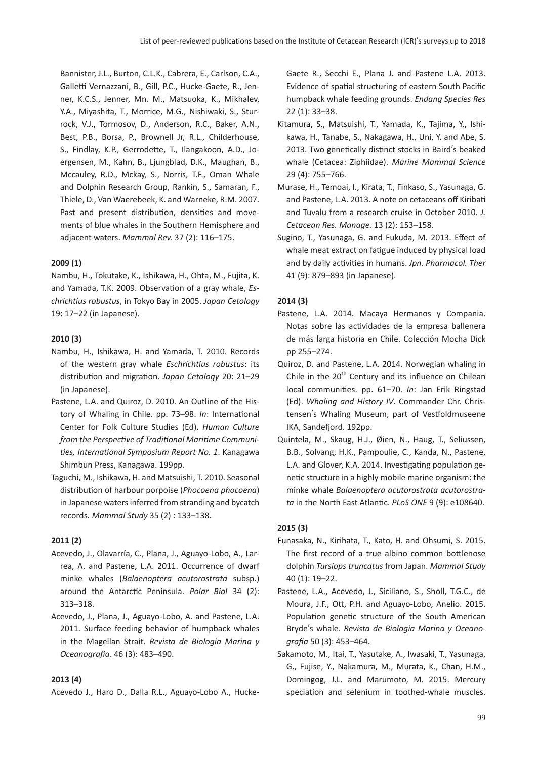Bannister, J.L., Burton, C.L.K., Cabrera, E., Carlson, C.A., Galletti Vernazzani, B., Gill, P.C., Hucke-Gaete, R., Jenner, K.C.S., Jenner, Mn. M., Matsuoka, K., Mikhalev, Y.A., Miyashita, T., Morrice, M.G., Nishiwaki, S., Sturrock, V.J., Tormosov, D., Anderson, R.C., Baker, A.N., Best, P.B., Borsa, P., Brownell Jr, R.L., Childerhouse, S., Findlay, K.P., Gerrodette, T., Ilangakoon, A.D., Joergensen, M., Kahn, B., Ljungblad, D.K., Maughan, B., Mccauley, R.D., Mckay, S., Norris, T.F., Oman Whale and Dolphin Research Group, Rankin, S., Samaran, F., Thiele, D., Van Waerebeek, K. and Warneke, R.M. 2007. Past and present distribution, densities and movements of blue whales in the Southern Hemisphere and adjacent waters. *Mammal Rev.* 37 (2): 116–175.

## **2009 (1)**

Nambu, H., Tokutake, K., Ishikawa, H., Ohta, M., Fujita, K. and Yamada, T.K. 2009. Observation of a gray whale, *Eschrichtius robustus*, in Tokyo Bay in 2005. *Japan Cetology* 19: 17–22 (in Japanese).

## **2010 (3)**

- Nambu, H., Ishikawa, H. and Yamada, T. 2010. Records of the western gray whale *Eschrichtius robustus*: its distribution and migration. *Japan Cetology* 20: 21–29 (in Japanese).
- Pastene, L.A. and Quiroz, D. 2010. An Outline of the History of Whaling in Chile. pp. 73–98. *In*: International Center for Folk Culture Studies (Ed). *Human Culture from the Perspective of Traditional Maritime Communities, International Symposium Report No. 1*. Kanagawa Shimbun Press, Kanagawa. 199pp.
- Taguchi, M., Ishikawa, H. and Matsuishi, T. 2010. Seasonal distribution of harbour porpoise (*Phocoena phocoena*) in Japanese waters inferred from stranding and bycatch records.*Mammal Study* 35 (2) : 133–138.

# **2011 (2)**

- Acevedo, J., Olavarría, C., Plana, J., Aguayo-Lobo, A., Larrea, A. and Pastene, L.A. 2011. Occurrence of dwarf minke whales (*Balaenoptera acutorostrata* subsp.) around the Antarctic Peninsula. *Polar Biol* 34 (2): 313–318.
- Acevedo, J., Plana, J., Aguayo-Lobo, A. and Pastene, L.A. 2011. Surface feeding behavior of humpback whales in the Magellan Strait. *Revista de Biologia Marina y Oceanografia*. 46 (3): 483–490.

#### **2013 (4)**

Acevedo J., Haro D., Dalla R.L., Aguayo-Lobo A., Hucke-

Gaete R., Secchi E., Plana J. and Pastene L.A. 2013. Evidence of spatial structuring of eastern South Pacific humpback whale feeding grounds. *Endang Species Res* 22 (1): 33–38.

- Kitamura, S., Matsuishi, T., Yamada, K., Tajima, Y., Ishikawa, H., Tanabe, S., Nakagawa, H., Uni, Y. and Abe, S. 2013. Two genetically distinct stocks in Baird's beaked whale (Cetacea: Ziphiidae). *Marine Mammal Science* 29 (4): 755–766.
- Murase, H., Temoai, I., Kirata, T., Finkaso, S., Yasunaga, G. and Pastene, L.A. 2013. A note on cetaceans off Kiribati and Tuvalu from a research cruise in October 2010. *J. Cetacean Res. Manage.* 13 (2): 153–158.
- Sugino, T., Yasunaga, G. and Fukuda, M. 2013. Effect of whale meat extract on fatigue induced by physical load and by daily activities in humans. *Jpn. Pharmacol. Ther* 41 (9): 879–893 (in Japanese).

## **2014 (3)**

- Pastene, L.A. 2014. Macaya Hermanos y Compania. Notas sobre las actividades de la empresa ballenera de más larga historia en Chile. Colección Mocha Dick pp 255–274.
- Quiroz, D. and Pastene, L.A. 2014. Norwegian whaling in Chile in the  $20<sup>th</sup>$  Century and its influence on Chilean local communities. pp. 61–70. *In*: Jan Erik Ringstad (Ed). *Whaling and History IV*. Commander Chr. Christensen's Whaling Museum, part of Vestfoldmuseene IKA, Sandefjord. 192pp.
- Quintela, M., Skaug, H.J., Øien, N., Haug, T., Seliussen, B.B., Solvang, H.K., Pampoulie, C., Kanda, N., Pastene, L.A. and Glover, K.A. 2014. Investigating population genetic structure in a highly mobile marine organism: the minke whale *Balaenoptera acutorostrata acutorostrata* in the North East Atlantic. *PLoS ONE* 9 (9): e108640.

#### **2015 (3)**

- Funasaka, N., Kirihata, T., Kato, H. and Ohsumi, S. 2015. The first record of a true albino common bottlenose dolphin *Tursiops truncatus* from Japan. *Mammal Study* 40 (1): 19–22.
- Pastene, L.A., Acevedo, J., Siciliano, S., Sholl, T.G.C., de Moura, J.F., Ott, P.H. and Aguayo-Lobo, Anelio. 2015. Population genetic structure of the South American Bryde's whale. *Revista de Biologia Marina y Oceanografia* 50 (3): 453–464.
- Sakamoto, M., Itai, T., Yasutake, A., Iwasaki, T., Yasunaga, G., Fujise, Y., Nakamura, M., Murata, K., Chan, H.M., Domingog, J.L. and Marumoto, M. 2015. Mercury speciation and selenium in toothed-whale muscles.